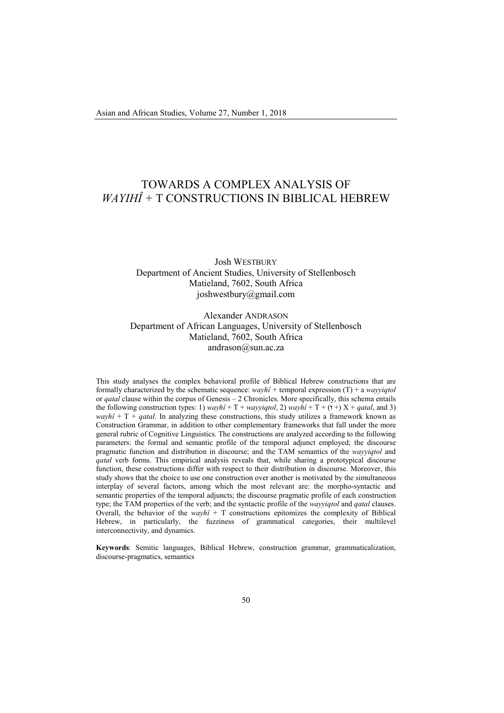# TOWARDS A COMPLEX ANALYSIS OF *WAYIHÎ +* T CONSTRUCTIONS IN BIBLICAL HEBREW

## Josh WESTBURY Department of Ancient Studies, University of Stellenbosch Matieland, 7602, South Africa joshwestbury@gmail.com

Alexander ANDRASON Department of African Languages, University of Stellenbosch Matieland, 7602, South Africa andrason@sun.ac.za

This study analyses the complex behavioral profile of Biblical Hebrew constructions that are formally characterized by the schematic sequence: *wayhî +* temporal expression (T) + a *wayyiqtol* or *qatal* clause within the corpus of Genesis – 2 Chronicles. More specifically, this schema entails the following construction types: 1) *wayhî* + T + *wayyiqtol*, 2) *wayhî* + T + (**1** +) X + *qatal*, and 3) *wayhî* + T + *qatal*. In analyzing these constructions, this study utilizes a framework known as Construction Grammar, in addition to other complementary frameworks that fall under the more general rubric of Cognitive Linguistics. The constructions are analyzed according to the following parameters: the formal and semantic profile of the temporal adjunct employed; the discourse pragmatic function and distribution in discourse; and the TAM semantics of the *wayyiqtol* and *qatal* verb forms. This empirical analysis reveals that, while sharing a prototypical discourse function, these constructions differ with respect to their distribution in discourse. Moreover, this study shows that the choice to use one construction over another is motivated by the simultaneous interplay of several factors, among which the most relevant are: the morpho-syntactic and semantic properties of the temporal adjuncts; the discourse pragmatic profile of each construction type; the TAM properties of the verb; and the syntactic profile of the *wayyiqtol* and *qatal* clauses. Overall, the behavior of the *wayhî* + T constructions epitomizes the complexity of Biblical Hebrew, in particularly, the fuzziness of grammatical categories, their multilevel interconnectivity, and dynamics.

**Keywords**: Semitic languages, Biblical Hebrew, construction grammar, grammaticalization, discourse-pragmatics, semantics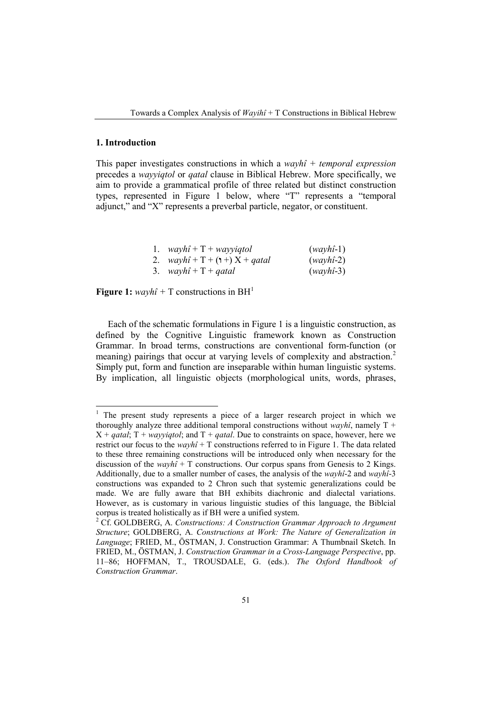## **1. Introduction**

This paper investigates constructions in which a *wayhî + temporal expression* precedes a *wayyiqtol* or *qatal* clause in Biblical Hebrew. More specifically, we aim to provide a grammatical profile of three related but distinct construction types, represented in Figure 1 below, where "T" represents a "temporal adjunct," and "X" represents a preverbal particle, negator, or constituent.

| 1. $wayh\hat{i} + T + wayyiqtol$              | $(wayh1-1)$ |
|-----------------------------------------------|-------------|
| 2. $wayh\hat{i} + T + (\uparrow +) X + qatal$ | $(wayh1-2)$ |
| 3. $wayh\hat{i} + T + qatal$                  | $(wayh1-3)$ |

**Figure 1:**  $wayh\hat{i}$  + T constructions in BH<sup>1</sup>

Each of the schematic formulations in Figure 1 is a linguistic construction, as defined by the Cognitive Linguistic framework known as Construction Grammar. In broad terms, constructions are conventional form-function (or meaning) pairings that occur at varying levels of complexity and abstraction.<sup>2</sup> Simply put, form and function are inseparable within human linguistic systems. By implication, all linguistic objects (morphological units, words, phrases,

<sup>&</sup>lt;sup>1</sup> The present study represents a piece of a larger research project in which we thoroughly analyze three additional temporal constructions without *wayhî*, namely  $T +$  $X + \text{qatal}$ ;  $T + \text{wavvidtol}$ ; and  $T + \text{qatal}$ . Due to constraints on space, however, here we restrict our focus to the  $wayh\hat{i} + T$  constructions referred to in Figure 1. The data related to these three remaining constructions will be introduced only when necessary for the discussion of the *wayhî* + T constructions. Our corpus spans from Genesis to 2 Kings. Additionally, due to a smaller number of cases, the analysis of the *wayhî*-2 and *wayhî*-3 constructions was expanded to 2 Chron such that systemic generalizations could be made. We are fully aware that BH exhibits diachronic and dialectal variations. However, as is customary in various linguistic studies of this language, the Biblcial corpus is treated holistically as if BH were a unified system.

<sup>2</sup> Cf. GOLDBERG, A. *Constructions: A Construction Grammar Approach to Argument Structure*; GOLDBERG, A. *Constructions at Work: The Nature of Generalization in Language*; FRIED, M., ÖSTMAN, J. Construction Grammar: A Thumbnail Sketch. In FRIED, M., ÖSTMAN, J. *Construction Grammar in a Cross-Language Perspective*, pp. 11–86; HOFFMAN, T., TROUSDALE, G. (eds.). *The Oxford Handbook of Construction Grammar*.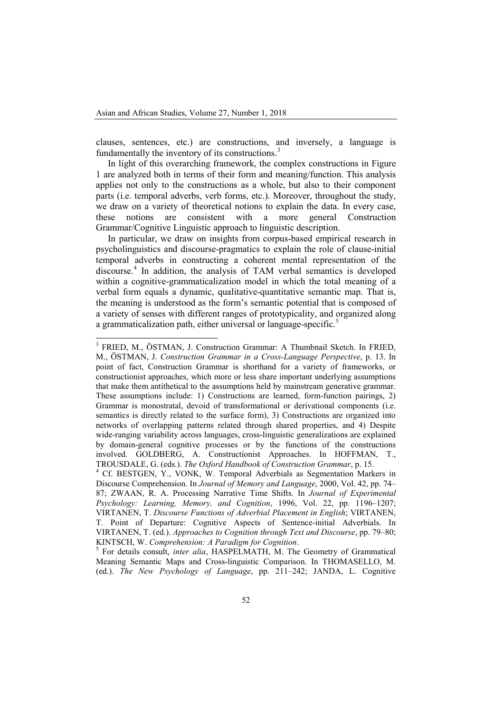clauses, sentences, etc.) are constructions, and inversely, a language is fundamentally the inventory of its constructions.<sup>[3](#page-2-0)</sup>

In light of this overarching framework, the complex constructions in Figure 1 are analyzed both in terms of their form and meaning/function. This analysis applies not only to the constructions as a whole, but also to their component parts (i.e. temporal adverbs, verb forms, etc.). Moreover, throughout the study, we draw on a variety of theoretical notions to explain the data. In every case, these notions are consistent with a more general Construction these notions are consistent with a more general Grammar/Cognitive Linguistic approach to linguistic description.

In particular, we draw on insights from corpus-based empirical research in psycholinguistics and discourse-pragmatics to explain the role of clause-initial temporal adverbs in constructing a coherent mental representation of the discourse. [4](#page-2-1) In addition, the analysis of TAM verbal semantics is developed within a cognitive-grammaticalization model in which the total meaning of a verbal form equals a dynamic, qualitative-quantitative semantic map. That is, the meaning is understood as the form's semantic potential that is composed of a variety of senses with different ranges of prototypicality, and organized along a grammaticalization path, either universal or language-specific.<sup>[5](#page-2-2)</sup>

<span id="page-2-0"></span><sup>&</sup>lt;sup>3</sup> FRIED, M., ÖSTMAN, J. Construction Grammar: A Thumbnail Sketch. In FRIED, M., ÖSTMAN, J. *Construction Grammar in a Cross-Language Perspective*, p. 13. In point of fact, Construction Grammar is shorthand for a variety of frameworks, or constructionist approaches, which more or less share important underlying assumptions that make them antithetical to the assumptions held by mainstream generative grammar. These assumptions include: 1) Constructions are learned, form-function pairings, 2) Grammar is monostratal, devoid of transformational or derivational components (i.e. semantics is directly related to the surface form), 3) Constructions are organized into networks of overlapping patterns related through shared properties, and 4) Despite wide-ranging variability across languages, cross-linguistic generalizations are explained by domain-general cognitive processes or by the functions of the constructions involved. GOLDBERG, A. Constructionist Approaches. In HOFFMAN, T., TROUSDALE, G. (eds.). The Oxford Handbook of Construction Grammar, p. 15.

<span id="page-2-1"></span><sup>&</sup>lt;sup>4</sup> Cf. BESTGEN, Y., VONK, W. Temporal Adverbials as Segmentation Markers in Discourse Comprehension. In *Journal of Memory and Language*, 2000, Vol. 42, pp. 74– 87; ZWAAN, R. A. Processing Narrative Time Shifts. In *Journal of Experimental Psychology: Learning, Memory, and Cognition*, 1996, Vol. 22, pp. 1196–1207; VIRTANEN, T. *Discourse Functions of Adverbial Placement in English*; VIRTANEN, T. Point of Departure: Cognitive Aspects of Sentence-initial Adverbials. In VIRTANEN, T. (ed.). *Approaches to Cognition through Text and Discourse*, pp. 79–80;

<span id="page-2-2"></span><sup>&</sup>lt;sup>5</sup> For details consult, *inter alia*, HASPELMATH, M. The Geometry of Grammatical Meaning Semantic Maps and Cross-linguistic Comparison. In THOMASELLO, M. (ed.). *The New Psychology of Language*, pp. 211–242; JANDA, L. Cognitive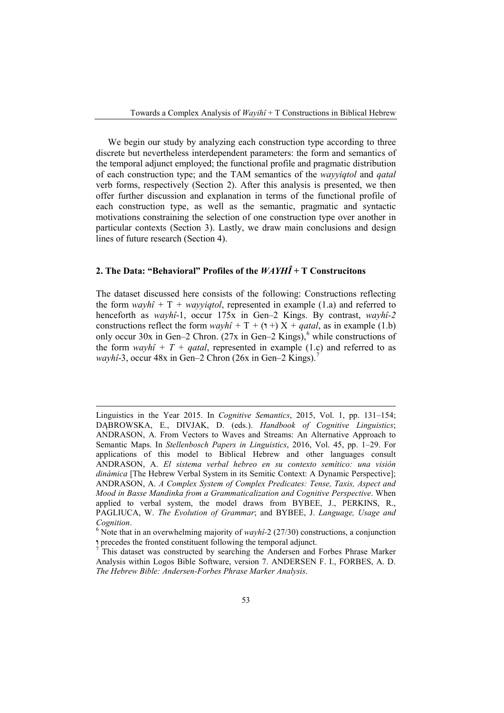We begin our study by analyzing each construction type according to three discrete but nevertheless interdependent parameters: the form and semantics of the temporal adjunct employed; the functional profile and pragmatic distribution of each construction type; and the TAM semantics of the *wayyiqtol* and *qatal* verb forms, respectively (Section 2). After this analysis is presented, we then offer further discussion and explanation in terms of the functional profile of each construction type, as well as the semantic, pragmatic and syntactic motivations constraining the selection of one construction type over another in particular contexts (Section 3). Lastly, we draw main conclusions and design lines of future research (Section 4).

## **2. The Data: "Behavioral" Profiles of the** *WAYHÎ* **+ T Construcitons**

The dataset discussed here consists of the following: Constructions reflecting the form  $wayh\hat{i} + T + wavviqtol$ , represented in example (1.a) and referred to henceforth as *wayhî*-1, occur 175x in Gen–2 Kings. By contrast, *wayhî-2*  constructions reflect the form  $wayh\hat{i} + T + (1 +) X + qatal$ , as in example (1.b) only occur 30x in Gen–2 Chron. (27x in Gen–2 Kings),<sup>6</sup> while constructions of the form *wayhî* +  $T$  + *qatal*, represented in example (1.c) and referred to as *wayhî*-3, occur 48x in Gen–2 Chron (26x in Gen–2 Kings).<sup>7</sup>

 Linguistics in the Year 2015. In *Cognitive Semantics*, 2015, Vol. 1, pp. 131–154; DĄBROWSKA, E., DIVJAK, D. (eds.). *Handbook of Cognitive Linguistics*; ANDRASON, A. From Vectors to Waves and Streams: An Alternative Approach to Semantic Maps. In *Stellenbosch Papers in Linguistics*, 2016, Vol. 45, pp. 1–29. For applications of this model to Biblical Hebrew and other languages consult ANDRASON, A. *El sistema verbal hebreo en su contexto semítico: una visión dinámica* [The Hebrew Verbal System in its Semitic Context: A Dynamic Perspective]; ANDRASON, A. *A Complex System of Complex Predicates: Tense, Taxis, Aspect and Mood in Basse Mandinka from a Grammaticalization and Cognitive Perspective*. When applied to verbal system, the model draws from BYBEE, J., PERKINS, R., PAGLIUCA, W. *The Evolution of Grammar*; and BYBEE, J. *Language, Usage and* 

*Cognition*.<br><sup>6</sup> Note that in an overwhelming majority of *wayhî-2* (27/30) constructions, a conjunction **1** precedes the fronted constituent following the temporal adjunct.

This dataset was constructed by searching the Andersen and Forbes Phrase Marker Analysis within Logos Bible Software, version 7. ANDERSEN F. I., FORBES, A. D. *The Hebrew Bible: Andersen-Forbes Phrase Marker Analysis*.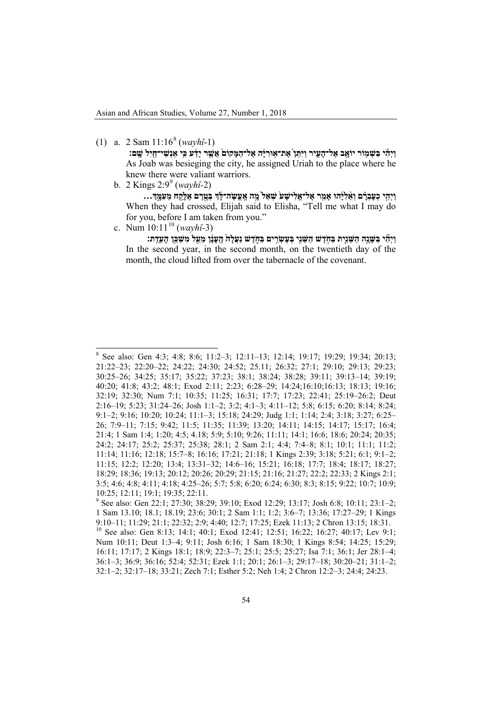(1) a.  $2 \text{ Sam } 11:16^8 \text{ (}wayh\hat{i} - 1\text{)}$  $2 \text{ Sam } 11:16^8 \text{ (}wayh\hat{i} - 1\text{)}$  $2 \text{ Sam } 11:16^8 \text{ (}wayh\hat{i} - 1\text{)}$ 

ויהי בשמור יואב אל־העיר ויתן את־אוריה אל־המקום אַשֵׁר יַדֹע כִּי אנשי־חיל שֵׁם: As Joab was besieging the city, he assigned Uriah to the place where he knew there were valiant warriors.

b. 2 Kings 2:9*8F* <sup>9</sup> (*wayhî-*2)

**וַיְהִ֣י כְעָבְרָ֗ ם וְאֵ֨ לִיָּ֜ הוּ אָמַ֤ ר אֶל־אֱלִישָׁ ע֙ שְׁ אַל֙ מָ֣ ה אֶ ֽ עֱשֶׂ ה־לָּ֔ � בְּטֶ֖ רֶ ם אֶלָּקַ֣ ח מֵעִמָּ֑ �...** When they had crossed, Elijah said to Elisha, "Tell me what I may do for you, before I am taken from you."

c. Num 10:11<sup>10</sup> (*wayhî*-3)

**וַיְהִ֞ י בַּשָּׁ נָ֧ה הַשֵּׁ נִ֛ית ֥בַּח ֹדֶשׁ הַשֵּׁ נִ֖י בְּעֶשְׂ רִ֣ ים ֑בַּח ֹדֶשׁ נַעֲלָה֙ הֶ ֽעָנָ֔ ן מֵעַ֖ ל מִשְׁ כַּ֥ן הָעֵדֻ ֽת׃** In the second year, in the second month, on the twentieth day of the month, the cloud lifted from over the tabernacle of the covenant.

<span id="page-4-0"></span><sup>8</sup> See also: Gen 4:3; 4:8; 8:6; 11:2–3; 12:11–13; 12:14; 19:17; 19:29; 19:34; 20:13; 21:22–23; 22:20–22; 24:22; 24:30; 24:52; 25.11; 26:32; 27:1; 29:10; 29:13; 29:23; 30:25–26; 34:25; 35:17; 35:22; 37:23; 38:1; 38:24; 38:28; 39:11; 39:13–14; 39:19; 40:20; 41:8; 43:2; 48:1; Exod 2:11; 2:23; 6:28–29; 14:24;16:10;16:13; 18:13; 19:16; 32:19; 32:30; Num 7:1; 10:35; 11:25; 16:31; 17:7; 17:23; 22:41; 25:19–26:2; Deut 2:16–19; 5:23; 31:24–26; Josh 1:1–2; 3:2; 4:1–3; 4:11–12; 5:8; 6:15; 6:20; 8:14; 8:24; 9:1–2; 9:16; 10:20; 10:24; 11:1–3; 15:18; 24:29; Judg 1:1; 1:14; 2:4; 3:18; 3:27; 6:25– 26; 7:9–11; 7:15; 9:42; 11:5; 11:35; 11:39; 13:20; 14:11; 14:15; 14:17; 15:17; 16:4; 21:4; 1 Sam 1:4; 1:20; 4:5; 4.18; 5:9; 5:10; 9:26; 11:11; 14:1; 16:6; 18:6; 20:24; 20:35; 24:2; 24:17; 25:2; 25:37; 25:38; 28:1; 2 Sam 2:1; 4:4; 7:4–8; 8:1; 10:1; 11:1; 11:2; 11:14; 11:16; 12:18; 15:7–8; 16:16; 17:21; 21:18; 1 Kings 2:39; 3:18; 5:21; 6:1; 9:1–2; 11:15; 12:2; 12:20; 13:4; 13:31–32; 14:6–16; 15:21; 16:18; 17:7; 18:4; 18:17; 18:27; 18:29; 18:36; 19:13; 20:12; 20:26; 20:29; 21:15; 21:16; 21:27; 22:2; 22:33; 2 Kings 2:1; 3:5; 4:6; 4:8; 4:11; 4:18; 4:25–26; 5:7; 5:8; 6:20; 6:24; 6:30; 8:3; 8:15; 9:22; 10:7; 10:9; 10:25; 12:11; 19:1; 19:35; 22:11.

<sup>9</sup> See also: Gen 22:1; 27:30; 38:29; 39:10; Exod 12:29; 13:17; Josh 6:8; 10:11; 23:1–2; 1 Sam 13.10; 18.1; 18.19; 23:6; 30:1; 2 Sam 1:1; 1:2; 3:6–7; 13:36; 17:27–29; 1 Kings 9:10–11; 11:29; 21:1; 22:32; 2:9; 4:40; 12:7; 17:25; Ezek 11:13; 2 Chron 13:15; 18:31.

<sup>&</sup>lt;sup>10</sup> See also: Gen 8:13; 14:1; 40:1; Exod 12:41; 12:51; 16:22; 16:27; 40:17; Lev 9:1; Num 10:11; Deut 1:3–4; 9:11; Josh 6:16; 1 Sam 18:30; 1 Kings 8:54; 14:25; 15:29; 16:11; 17:17; 2 Kings 18:1; 18:9; 22:3–7; 25:1; 25:5; 25:27; Isa 7:1; 36:1; Jer 28:1–4; 36:1–3; 36:9; 36:16; 52:4; 52:31; Ezek 1:1; 20:1; 26:1–3; 29:17–18; 30:20–21; 31:1–2; 32:1–2; 32:17–18; 33:21; Zech 7:1; Esther 5:2; Neh 1:4; 2 Chron 12:2–3; 24:4; 24:23.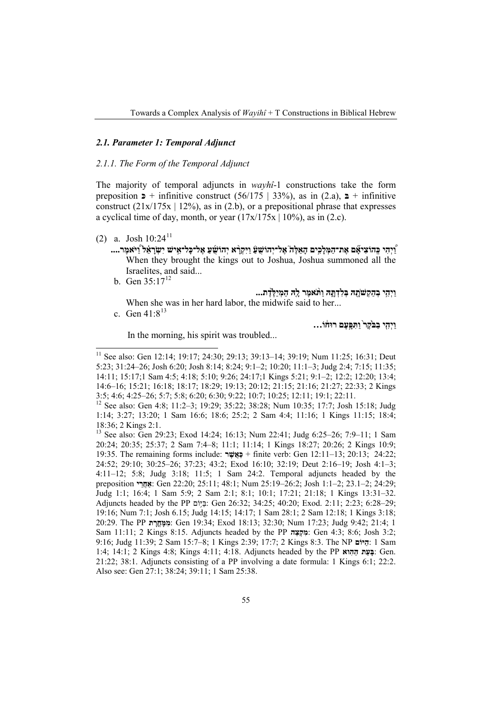## *2.1. Parameter 1: Temporal Adjunct*

## *2.1.1. The Form of the Temporal Adjunct*

The majority of temporal adjuncts in *wayhî*-1 constructions take the form preposition  $\triangleright$  + infinitive construct (56/175 | 33%), as in (2.a),  $\triangleright$  + infinitive construct  $(21x/175x \mid 12\%)$ , as in (2.b), or a prepositional phrase that expresses a cyclical time of day, month, or year  $(17x/175x \mid 10\%)$ , as in (2.c).

- $(2)$  a. Josh  $10:24<sup>11</sup>$ 
	- **וַ֠ יְהִי כְּ ֽהוֹצִיאָ֞ ם אֶת־הַמְּלָכִ֣ים הָאֵלֶּה֮ אֶל־יְהוֹשֻׁ עַ֒ וַיִּקְרָ֨ א יְהוֹשֻׁ֜ עַ אֶל־כָּל־אִ֣ ישׁ יִשְׂ רָ אֵ֗ ל וַ֠ יּ ֹאמֶר....** When they brought the kings out to Joshua, Joshua summoned all the Israelites, and said...
		- b. Gen  $35:17^{12}$ **וַיְהִ֥י בְהַקְשׁ ֹתָ֖ הּ בְּלִדְתָּ֑ הּ וַתּ ֹ֨ אמֶר לָ֤הּ הַמְיַלֶּ֙דֶת...**

When she was in her hard labor, the midwife said to her... c. Gen 41:8<sup>13</sup>

**וַיְהִ֤י בַבּ ֹ֙קֶר֙ וַתִּ פָּ֣עֶם רוּח֔ וֹ...**

In the morning, his spirit was troubled...

<sup>11</sup> See also: Gen 12:14; 19:17; 24:30; 29:13; 39:13–14; 39:19; Num 11:25; 16:31; Deut 5:23; 31:24–26; Josh 6:20; Josh 8:14; 8:24; 9:1–2; 10:20; 11:1–3; Judg 2:4; 7:15; 11:35; 14:11; 15:17;1 Sam 4:5; 4:18; 5:10; 9:26; 24:17;1 Kings 5:21; 9:1–2; 12:2; 12:20; 13:4; 14:6–16; 15:21; 16:18; 18:17; 18:29; 19:13; 20:12; 21:15; 21:16; 21:27; 22:33; 2 Kings

<sup>&</sup>lt;sup>12</sup> See also: Gen 4:8; 11:2-3; 19:29; 35:22; 38:28; Num 10:35; 17:7; Josh 15:18; Judg 1:14; 3:27; 13:20; 1 Sam 16:6; 18:6; 25:2; 2 Sam 4:4; 11:16; 1 Kings 11:15; 18:4; 18:36; 2 Kings 2:1.

<sup>13</sup> See also: Gen 29:23; Exod 14:24; 16:13; Num 22:41; Judg 6:25–26; 7:9–11; 1 Sam 20:24; 20:35; 25:37; 2 Sam 7:4–8; 11:1; 11:14; 1 Kings 18:27; 20:26; 2 Kings 10:9; 19:35. The remaining forms include: **ר ֶשֲׁאַכּ** + finite verb: Gen 12:11–13; 20:13; 24:22; 24:52; 29:10; 30:25–26; 37:23; 43:2; Exod 16:10; 32:19; Deut 2:16–19; Josh 4:1–3; 4:11–12; 5:8; Judg 3:18; 11:5; 1 Sam 24:2. Temporal adjuncts headed by the preposition **י ֵרֲאַח**: Gen 22:20; 25:11; 48:1; Num 25:19–26:2; Josh 1:1–2; 23.1–2; 24:29; Judg 1:1; 16:4; 1 Sam 5:9; 2 Sam 2:1; 8:1; 10:1; 17:21; 21:18; 1 Kings 13:31–32. Adjuncts headed by the PP יּוֹםַבּ֥ : Gen 26:32; 34:25; 40:20; Exod. 2:11; 2:23; 6:28–29; 19:16; Num 7:1; Josh 6.15; Judg 14:15; 14:17; 1 Sam 28:1; 2 Sam 12:18; 1 Kings 3:18; 20:29. The PP **ת ָרֳחָמִּמ**: Gen 19:34; Exod 18:13; 32:30; Num 17:23; Judg 9:42; 21:4; 1 Sam 11:11; 2 Kings 8:15. Adjuncts headed by the PP **הֵצְקִמ**: Gen 4:3; 8:6; Josh 3:2; 9:16; Judg 11:39; 2 Sam 15:7–8; 1 Kings 2:39; 17:7; 2 Kings 8:3. The NP **יּוֹםַה**: 1 Sam 1:4; 14:1; 2 Kings 4:8; Kings 4:11; 4:18. Adjuncts headed by the PP **וא ִהַה ת ֵעָבּ**: Gen. 21:22; 38:1. Adjuncts consisting of a PP involving a date formula: 1 Kings 6:1; 22:2. Also see: Gen 27:1; 38:24; 39:11; 1 Sam 25:38.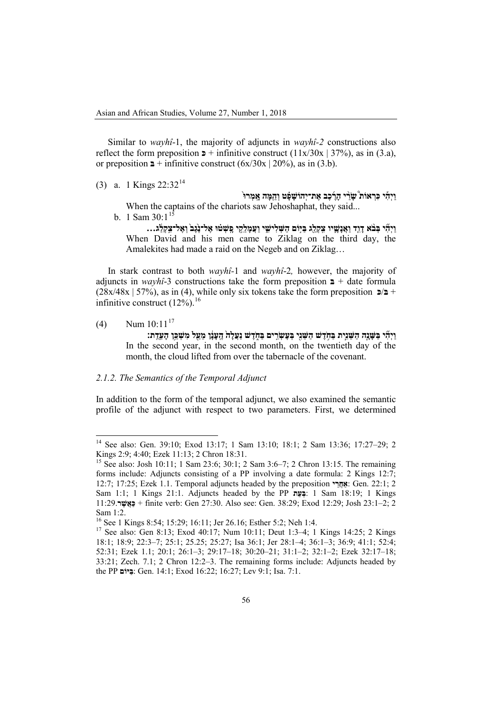Similar to *wayhî*-1, the majority of adjuncts in *wayhî-2* constructions also reflect the form preposition  $\triangleright$  + infinitive construct (11x/30x | 37%), as in (3.a), or preposition  $\mathbf{a}$  + infinitive construct (6x/30x | 20%), as in (3.b).

(3) a. 1 Kings 22:32<sup>14</sup>

**וַיְהִ֡ י כִּרְ אוֹת֩ שָׂ רֵ֨ י הָרֶ֜ כֶב אֶת־יְהוֹשָׁ פָ֗ ט וְהֵ֤מָּה אָ ֽמְרוּ֙**  When the captains of the chariots saw Jehoshaphat, they said...

b. 1 Sam 30:1<sup>15</sup>

וַיִּהִי בִּבֹא דָוֶד וַאֲנָשֵׁיו צִקְלֵג בַּיִּוֹם הַשִּׁלִישֵׁי וַעֲמָלֵקֵי פֵשְׁטֹוּ אֵל־נָגֵב וְאֵל־צִקְלֵג... When David and his men came to Ziklag on the third day, the Amalekites had made a raid on the Negeb and on Ziklag…

In stark contrast to both *wayhî-*1 and *wayhî*-2*,* however, the majority of adjuncts in *wayhî*-3 constructions take the form preposition  $\mathbf{a}$  + date formula  $(28x/48x \mid 57\%)$ , as in (4), while only six tokens take the form preposition  $\mathbf{E}$  + infinitive construct (12%).<sup>16</sup>

 $(4)$  Num  $10:11^{17}$ 

**וַיְהִ֞ י בַּשָּׁ נָ֧ה הַשֵּׁ נִ֛ ֥ ית בַּח ֹדֶשׁ הַשֵּׁ נִ֖י בְּעֶשְׂ רִ֣ ֑ ים בַּח ֹדֶשׁ נַעֲלָה֙ הֶ ֽעָנָ֔ ן מֵעַ֖ ל מִשְׁ כַּ֥ן הָעֵדֻ ֽת׃** In the second year, in the second month, on the twentieth day of the month, the cloud lifted from over the tabernacle of the covenant.

## *2.1.2. The Semantics of the Temporal Adjunct*

In addition to the form of the temporal adjunct, we also examined the semantic profile of the adjunct with respect to two parameters. First, we determined

<sup>&</sup>lt;sup>14</sup> See also: Gen. 39:10; Exod 13:17; 1 Sam 13:10; 18:1; 2 Sam 13:36; 17:27-29; 2 Kings 2:9; 4:40; Ezek 11:13; 2 Chron 18:31.

<sup>&</sup>lt;sup>15</sup> See also: Josh 10:11; 1 Sam 23:6; 30:1; 2 Sam 3:6–7; 2 Chron 13:15. The remaining forms include: Adjuncts consisting of a PP involving a date formula: 2 Kings 12:7; 12:7; 17:25; Ezek 1.1. Temporal adjuncts headed by the preposition **י ֵרֲאַח**: Gen. 22:1; 2 Sam 1:1; 1 Kings 21:1. Adjuncts headed by the PP **ת ֵעְבּ**: 1 Sam 18:19; 1 Kings 11:29.**ר ֶשֲׁאַכּ** + finite verb: Gen 27:30. Also see: Gen. 38:29; Exod 12:29; Josh 23:1–2; 2 Sam 1:2.<br><sup>16</sup> See 1 Kings 8:54; 15:29; 16:11; Jer 26.16; Esther 5:2; Neh 1:4.

<sup>&</sup>lt;sup>17</sup> See also: Gen 8:13; Exod 40:17; Num 10:11; Deut 1:3–4; 1 Kings 14:25; 2 Kings 18:1; 18:9; 22:3–7; 25:1; 25.25; 25:27; Isa 36:1; Jer 28:1–4; 36:1–3; 36:9; 41:1; 52:4; 52:31; Ezek 1.1; 20:1; 26:1–3; 29:17–18; 30:20–21; 31:1–2; 32:1–2; Ezek 32:17–18; 33:21; Zech. 7.1; 2 Chron 12:2–3. The remaining forms include: Adjuncts headed by the PP **יּוֹםַבּ**: Gen. 14:1; Exod 16:22; 16:27; Lev 9:1; Isa. 7:1.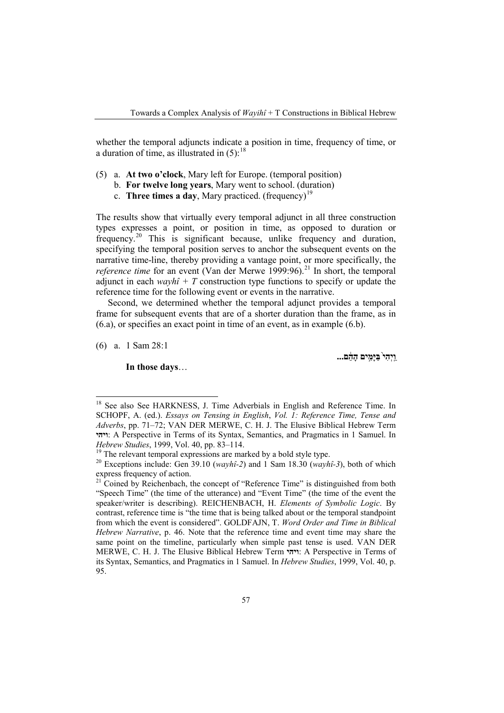whether the temporal adjuncts indicate a position in time, frequency of time, or a duration of time, as illustrated in  $(5)$ :<sup>[18](#page-7-0)</sup>

- (5) a. **At two o'clock**, Mary left for Europe. (temporal position)
	- b. **For twelve long years**, Mary went to school. (duration)
	- c. **Three times a day**, Mary practiced. (frequency)<sup>[19](#page-7-1)</sup>

The results show that virtually every temporal adjunct in all three construction types expresses a point, or position in time, as opposed to duration or frequency.<sup>[20](#page-7-2)</sup> This is significant because, unlike frequency and duration, specifying the temporal position serves to anchor the subsequent events on the narrative time-line, thereby providing a vantage point, or more specifically, the *reference time* for an event (Van der Merwe 1999:96).<sup>[21](#page-7-3)</sup> In short, the temporal adjunct in each  $wayh\hat{i} + T$  construction type functions to specify or update the reference time for the following event or events in the narrative.

Second, we determined whether the temporal adjunct provides a temporal frame for subsequent events that are of a shorter duration than the frame, as in (6.a), or specifies an exact point in time of an event, as in example (6.b).

(6) a. 1 Sam 28:1

**In those days**…

**וַ ֽיְהִי֙ בַּיָּמִ֣ים הָהֵ֔ ם...**

<span id="page-7-0"></span>See also See HARKNESS, J. Time Adverbials in English and Reference Time. In SCHOPF, A. (ed.). *Essays on Tensing in English*, *Vol. 1: Reference Time, Tense and Adverbs*, pp. 71–72; VAN DER MERWE, C. H. J. The Elusive Biblical Hebrew Term **1יהי**: A Perspective in Terms of its Syntax, Semantics, and Pragmatics in 1 Samuel. In *Hebrew Studies*, 1999, Vol. 40, pp. 83–114.

<span id="page-7-2"></span><span id="page-7-1"></span><sup>&</sup>lt;sup>19</sup> The relevant temporal expressions are marked by a bold style type. <sup>20</sup> Exceptions include: Gen 39.10 (*wayhî-2*) and 1 Sam 18.30 (*wayhî-3*), both of which express frequency of action.

<span id="page-7-3"></span><sup>&</sup>lt;sup>21</sup> Coined by Reichenbach, the concept of "Reference Time" is distinguished from both "Speech Time" (the time of the utterance) and "Event Time" (the time of the event the speaker/writer is describing). REICHENBACH, H. *Elements of Symbolic Logic*. By contrast, reference time is "the time that is being talked about or the temporal standpoint from which the event is considered". GOLDFAJN, T. *Word Order and Time in Biblical Hebrew Narrative*, p. 46. Note that the reference time and event time may share the same point on the timeline, particularly when simple past tense is used. VAN DER MERWE, C. H. J. The Elusive Biblical Hebrew Term **ויהי**: A Perspective in Terms of its Syntax, Semantics, and Pragmatics in 1 Samuel. In *Hebrew Studies*, 1999, Vol. 40, p. 95.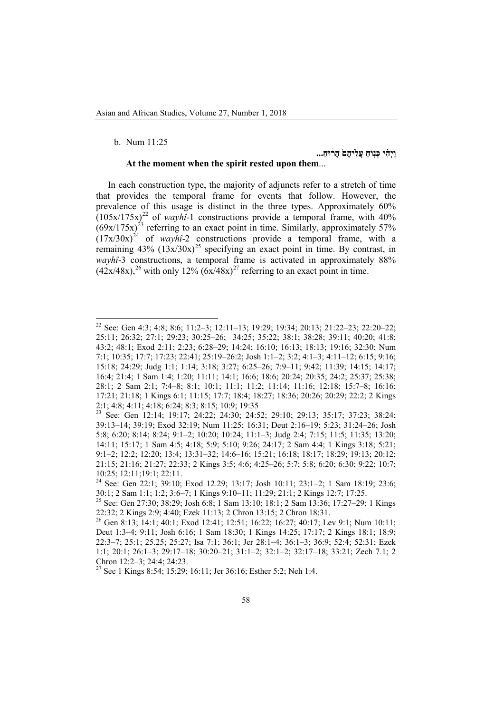## b. Num 11:25

## **וַיְהִ֗ י ֤כְּנוֹחַ עֲלֵיהֶם֙ הָר֔ וּחַ ...**

#### **At the moment when the spirit rested upon them**...

In each construction type, the majority of adjuncts refer to a stretch of time that provides the temporal frame for events that follow. However, the prevalence of this usage is distinct in the three types. Approximately 60%  $(105x/175x)^{22}$  of *wayhî*-1 constructions provide a temporal frame, with 40%  $(69x/175x)^{23}$  referring to an exact point in time. Similarly, approximately 57%  $(17x/30x)^{24}$  of *wayhî*-2 constructions provide a temporal frame, with a remaining  $43\%$   $(13x/30x)^{25}$  specifying an exact point in time. By contrast, in *wayhî*-3 constructions, a temporal frame is activated in approximately 88%  $(42x/48x)$ ,<sup>26</sup> with only 12%  $(6x/48x)^{27}$  referring to an exact point in time.

<sup>22</sup> See: Gen 4:3; 4:8; 8:6; 11:2–3; 12:11–13; 19:29; 19:34; 20:13; 21:22–23; 22:20–22; 25:11; 26:32; 27:1; 29:23; 30:25–26; 34:25; 35:22; 38:1; 38:28; 39:11; 40:20; 41:8; 43:2; 48:1; Exod 2:11; 2:23; 6:28–29; 14:24; 16:10; 16:13; 18:13; 19:16; 32:30; Num 7:1; 10:35; 17:7; 17:23; 22:41; 25:19–26:2; Josh 1:1–2; 3:2; 4:1–3; 4:11–12; 6:15; 9:16; 15:18; 24:29; Judg 1:1; 1:14; 3:18; 3:27; 6:25–26; 7:9–11; 9:42; 11:39; 14:15; 14:17; 16:4; 21:4; 1 Sam 1:4; 1:20; 11:11; 14:1; 16:6; 18:6; 20:24; 20:35; 24:2; 25:37; 25:38; 28:1; 2 Sam 2:1; 7:4–8; 8:1; 10:1; 11:1; 11:2; 11:14; 11:16; 12:18; 15:7–8; 16:16; 17:21; 21:18; 1 Kings 6:1; 11:15; 17:7; 18:4; 18:27; 18:36; 20:26; 20:29; 22:2; 2 Kings 2:1; 4:8; 4:11; 4:18; 6:24; 8:3; 8:15; 10:9; 19:35

<sup>23</sup> See: Gen 12:14; 19:17; 24:22; 24:30; 24:52; 29:10; 29:13; 35:17; 37:23; 38:24; 39:13–14; 39:19; Exod 32:19; Num 11:25; 16:31; Deut 2:16–19; 5:23; 31:24–26; Josh 5:8; 6:20; 8:14; 8:24; 9:1–2; 10:20; 10:24; 11:1–3; Judg 2:4; 7:15; 11:5; 11:35; 13:20; 14:11; 15:17; 1 Sam 4:5; 4:18; 5:9; 5:10; 9:26; 24:17; 2 Sam 4:4; 1 Kings 3:18; 5:21; 9:1–2; 12:2; 12:20; 13:4; 13:31–32; 14:6–16; 15:21; 16:18; 18:17; 18:29; 19:13; 20:12; 21:15; 21:16; 21:27; 22:33; 2 Kings 3:5; 4:6; 4:25–26; 5:7; 5:8; 6:20; 6:30; 9:22; 10:7; 10:25; 12:11;19:1; 22:11.

<sup>&</sup>lt;sup>24</sup> See: Gen 22:1; 39:10; Exod 12.29; 13:17; Josh 10:11; 23:1-2; 1 Sam 18:19; 23:6; 30:1; 2 Sam 1:1; 1:2; 3:6-7; 1 Kings 9:10-11; 11:29; 21:1; 2 Kings 12:7; 17:25.

<sup>&</sup>lt;sup>25</sup> See: Gen 27:30; 38:29; Josh 6:8; 1 Sam 13:10; 18:1; 2 Sam 13:36; 17:27-29; 1 Kings 22:32; 2 Kings 2:9; 4:40; Ezek 11:13; 2 Chron 13:15; 2 Chron 18:31.

<sup>26</sup> Gen 8:13; 14:1; 40:1; Exod 12:41; 12:51; 16:22; 16:27; 40:17; Lev 9:1; Num 10:11; Deut 1:3–4; 9:11; Josh 6:16; 1 Sam 18:30; 1 Kings 14:25; 17:17; 2 Kings 18:1; 18:9; 22:3–7; 25:1; 25.25; 25:27; Isa 7:1; 36:1; Jer 28:1–4; 36:1–3; 36:9; 52:4; 52:31; Ezek 1:1; 20:1; 26:1–3; 29:17–18; 30:20–21; 31:1–2; 32:1–2; 32:17–18; 33:21; Zech 7.1; 2 Chron 12:2–3; 24:4; 24:23.<br><sup>27</sup> See 1 Kings 8:54; 15:29; 16:11; Jer 36:16; Esther 5:2; Neh 1:4.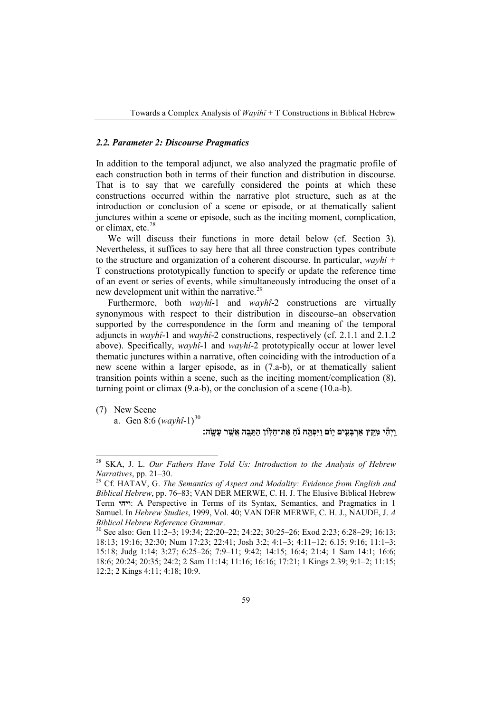## *2.2. Parameter 2: Discourse Pragmatics*

In addition to the temporal adjunct, we also analyzed the pragmatic profile of each construction both in terms of their function and distribution in discourse. That is to say that we carefully considered the points at which these constructions occurred within the narrative plot structure, such as at the introduction or conclusion of a scene or episode, or at thematically salient junctures within a scene or episode, such as the inciting moment, complication, or climax, etc.<sup>[28](#page-9-0)</sup>

We will discuss their functions in more detail below (cf. Section 3). Nevertheless, it suffices to say here that all three construction types contribute to the structure and organization of a coherent discourse. In particular, *wayhi +*  T constructions prototypically function to specify or update the reference time of an event or series of events, while simultaneously introducing the onset of a new development unit within the narrative.<sup>[29](#page-9-1)</sup>

Furthermore, both *wayhî*-1 and *wayhî*-2 constructions are virtually synonymous with respect to their distribution in discourse–an observation supported by the correspondence in the form and meaning of the temporal adjuncts in *wayhî*-1 and *wayhî*-2 constructions, respectively (cf. 2.1.1 and 2.1.2 above). Specifically, *wayhî*-1 and *wayhî*-2 prototypically occur at lower level thematic junctures within a narrative, often coinciding with the introduction of a new scene within a larger episode, as in (7.a-b), or at thematically salient transition points within a scene, such as the inciting moment/complication (8), turning point or climax (9.a-b), or the conclusion of a scene (10.a-b).

(7) New Scene

a. Gen 8:6 (*wayhî*-1) [30](#page-9-2)

## **וַ ֽיְהִ֕ י מִקֵּ֖ ץ אַרְ בָּעִ֣ים ֑יוֹם וַיִּפְתַּ֣ ח נ ֹ֔ חַ ֥ אֶת־חַלּוֹן הַתֵּ בָ֖ ה אֲשֶׁ֥ ר עָשָׂ ֽה׃**

<span id="page-9-0"></span><sup>28</sup> SKA, J. L. *Our Fathers Have Told Us: Introduction to the Analysis of Hebrew Narratives*, pp. 21–30.<br><sup>29</sup> Cf. HATAV, G. *The Semantics of Aspect and Modality: Evidence from English and* 

<span id="page-9-1"></span>*Biblical Hebrew*, pp. 76–83; VAN DER MERWE, C. H. J. The Elusive Biblical Hebrew Term **ויהי**: A Perspective in Terms of its Syntax, Semantics, and Pragmatics in 1 Samuel. In *Hebrew Studies*, 1999, Vol. 40; VAN DER MERWE, C. H. J., NAUDE, J. *A Biblical Hebrew Reference Grammar.*<br><sup>30</sup> See also: Gen 11:2–3; 19:34; 22:20–22; 24:22; 30:25–26; Exod 2:23; 6:28–29; 16:13;

<span id="page-9-2"></span><sup>18:13; 19:16; 32:30;</sup> Num 17:23; 22:41; Josh 3:2; 4:1–3; 4:11–12; 6.15; 9:16; 11:1–3; 15:18; Judg 1:14; 3:27; 6:25–26; 7:9–11; 9:42; 14:15; 16:4; 21:4; 1 Sam 14:1; 16:6; 18:6; 20:24; 20:35; 24:2; 2 Sam 11:14; 11:16; 16:16; 17:21; 1 Kings 2.39; 9:1–2; 11:15; 12:2; 2 Kings 4:11; 4:18; 10:9.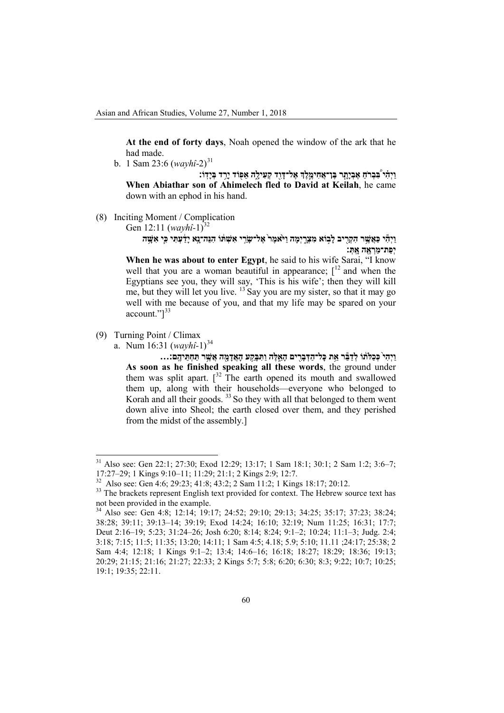**At the end of forty days**, Noah opened the window of the ark that he had made.

b. 1 Sam 23:6 (*wayhî*-2) [31](#page-10-0)

**וַיְהִ֗ י בִּ֠ בְר ֹחַ אֶבְיָתָ֧ ר בֶּן־אֲחִימֶ֛ לֶ� אֶל־דָּוִ֖ד קְעִילָ֑ה ֖אֵפוֹד יָרַ֥ ד בְּיָדֽוֹ׃ When Abiathar son of Ahimelech fled to David at Keilah**, he came down with an ephod in his hand.

(8) Inciting Moment / Complication

Gen 12:11 (*wayhî*-1)<sup>32</sup>

**וַיְהִ֕ י כַּאֲשֶׁ֥ ר הִקְרִ֖ ֣ יב לָבוֹא מִצְרָ֑ יְמָה וַיּ ֹ֙אמֶר֙ אֶל־שָׂ רַ֣ י אִשְׁ תּ֔ וֹ הִנֵּה־נָ֣א יָדַ֔ עְתִּ י כִּ֛י אִשָּׁ֥ ה יְפַת־מַרְ אֶ֖ ה אָ ֽתְּ׃**

**When he was about to enter Egypt**, he said to his wife Sarai, "I know well that you are a woman beautiful in appearance;  $\int_1^{12}$  and when the Egyptians see you, they will say, 'This is his wife'; then they will kill me, but they will let you live.  $13$  Say you are my sister, so that it may go well with me because of you, and that my life may be spared on your account."]<sup>33</sup>

- (9) Turning Point / Climax
	- a. Num 16:31 (*wayhî*-1)<sup>34</sup>

וַיְהִי כְּכַלֹּתוֹ לְדַבֵּר אֵת כָּל־הַדְּבָרִים הָאֵלֶה וַתִּבְּקִע הָאֲדָמֶה אֲשֶׁר תַּחְתֵּיהֶם:... **As soon as he finished speaking all these words**, the ground under them was split apart.  $\int_0^{32}$  The earth opened its mouth and swallowed them up, along with their households—everyone who belonged to Korah and all their goods.<sup>33</sup> So they with all that belonged to them went down alive into Sheol; the earth closed over them, and they perished from the midst of the assembly.]

<span id="page-10-0"></span><sup>&</sup>lt;sup>31</sup> Also see: Gen 22:1; 27:30; Exod 12:29; 13:17; 1 Sam 18:1; 30:1; 2 Sam 1:2; 3:6–7; 17:27–29; 1 Kings 9:10–11; 11:29; 21:1; 2 Kings 2:9; 12:7.

<sup>&</sup>lt;sup>32</sup> Also see: Gen 4:6; 29:23; 41:8; 43:2; 2 Sam 11:2; 1 Kings 18:17; 20:12.<br><sup>33</sup> The brackets represent English text provided for context. The Hebrew source text has not been provided in the example.

<sup>34</sup> Also see: Gen 4:8; 12:14; 19:17; 24:52; 29:10; 29:13; 34:25; 35:17; 37:23; 38:24; 38:28; 39:11; 39:13–14; 39:19; Exod 14:24; 16:10; 32:19; Num 11:25; 16:31; 17:7; Deut 2:16–19; 5:23; 31:24–26; Josh 6:20; 8:14; 8:24; 9:1–2; 10:24; 11:1–3; Judg. 2:4; 3:18; 7:15; 11:5; 11:35; 13:20; 14:11; 1 Sam 4:5; 4.18; 5.9; 5:10; 11.11 ;24:17; 25:38; 2 Sam 4:4; 12:18; 1 Kings 9:1–2; 13:4; 14:6–16; 16:18; 18:27; 18:29; 18:36; 19:13; 20:29; 21:15; 21:16; 21:27; 22:33; 2 Kings 5:7; 5:8; 6:20; 6:30; 8:3; 9:22; 10:7; 10:25; 19:1; 19:35; 22:11.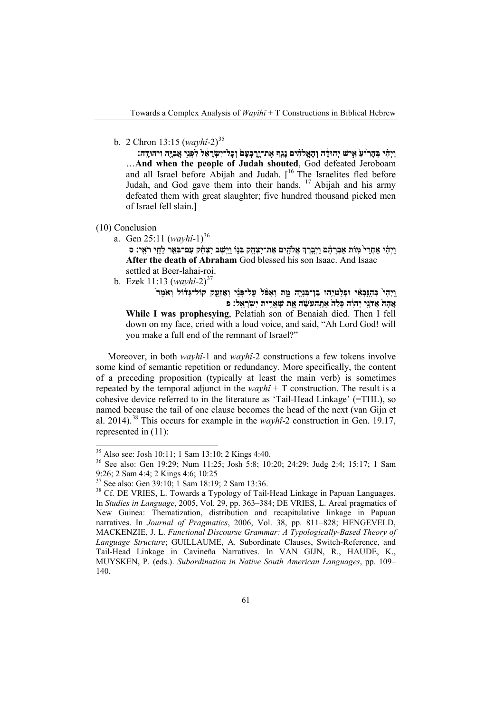b. 2 Chron 13:15 (*wayhî*-2) [35](#page-11-0)

**וַיְהִ֗ י בְּהָרִ ֙יעַ֙ אִ֣ישׁ יְהוּדָ֔ ה וְהָאֱ�הִ֗ ים נָגַ֤ף אֶת־יָ ֽרָ בְעָם֙ וְכָל־יִשְׂ רָ אֵ֔ ל לִפְנֵ֥י אֲבִיָּ֖ה וִיהוּדָ ֽה׃** …**And when the people of Judah shouted**, God defeated Jeroboam and all Israel before Abijah and Judah. [ 16 The Israelites fled before Judah, and God gave them into their hands. <sup>17</sup> Abijah and his army defeated them with great slaughter; five hundred thousand picked men of Israel fell slain.]

## (10) Conclusion

a. Gen 25:11 (*wayhî*-1)<sup>36</sup>

ויהי אחרי מות אברהם ויברד אלהים את־יצחק בנו וישב יצחק עם־באר לחי ראי: ס **After the death of Abraham** God blessed his son Isaac. And Isaac settled at Beer-lahai-roi.

b. Ezek 11:13 (*wayhî*-2)<sup>37</sup>

**וַ ֽיְהִי֙ כְּהִנָּ֣בְאִ֔ י וּפְלַטְיָ֥הוּ בֶן־בְּנָיָ֖ה מֵ֑ ת וָאֶפּ ֹ֨ ל עַל־פָּנַ֜ י וָאֶזְעַ֣ ק קוֹל־גָּד֗ וֹל וָא ֹמַר֙ אֲ הָהּ֙ אֲד ֹנָ֣י יְהוִ֔ ה כָּלָה֙ אַתָּ֣ הע ֹשֶׂ֔ ה אֵ֖ ת שְׁ אֵרִ֥ ית יִשְׂ רָ אֵ ֽל׃ פ While I was prophesying**, Pelatiah son of Benaiah died. Then I fell down on my face, cried with a loud voice, and said, "Ah Lord God! will you make a full end of the remnant of Israel?"

Moreover, in both *wayhî*-1 and *wayhî*-2 constructions a few tokens involve some kind of semantic repetition or redundancy. More specifically, the content of a preceding proposition (typically at least the main verb) is sometimes repeated by the temporal adjunct in the  $wayh\hat{i} + T$  construction. The result is a cohesive device referred to in the literature as 'Tail-Head Linkage' (=THL), so named because the tail of one clause becomes the head of the next (van Gijn et al. 2014).<sup>38</sup> This occurs for example in the  $wayh\hat{i}$ -2 construction in Gen. 19.17, represented in (11):

<span id="page-11-0"></span><sup>&</sup>lt;sup>35</sup> Also see: Josh 10:11; 1 Sam 13:10; 2 Kings 4:40.<br><sup>36</sup> See also: Gen 19:29; Num 11:25; Josh 5:8; 10:20; 24:29; Judg 2:4; 15:17; 1 Sam 9:26; 2 Sam 4:4; 2 Kings 4:6; 10:25<br><sup>37</sup> See also: Gen 39:10; 1 Sam 18:19; 2 Sam 13:36.

<sup>&</sup>lt;sup>38</sup> Cf. DE VRIES, L. Towards a Typology of Tail-Head Linkage in Papuan Languages. In *Studies in Language*, 2005, Vol. 29, pp. 363–384; DE VRIES, L. Areal pragmatics of New Guinea: Thematization, distribution and recapitulative linkage in Papuan narratives. In *Journal of Pragmatics*, 2006, Vol. 38, pp. 811–828; HENGEVELD, MACKENZIE, J. L. *Functional Discourse Grammar: A Typologically-Based Theory of Language Structure*; GUILLAUME, A. Subordinate Clauses, Switch-Reference, and Tail-Head Linkage in Cavineña Narratives. In VAN GIJN, R., HAUDE, K., MUYSKEN, P. (eds.). *Subordination in Native South American Languages*, pp. 109– 140.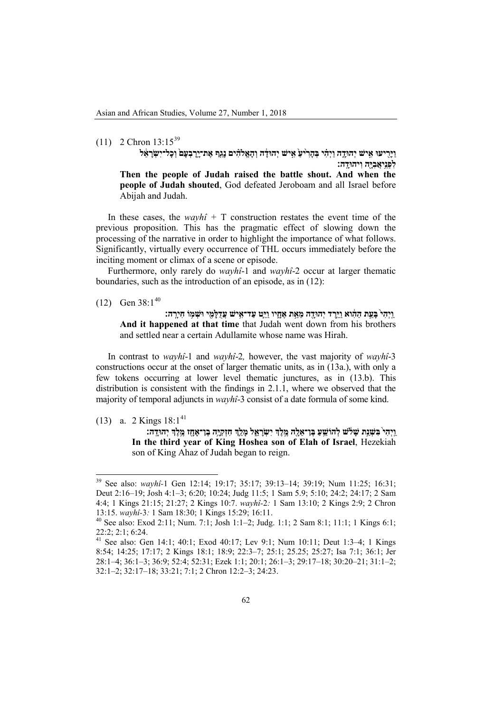# $(11)$  2 Chron  $13:15^{39}$  $13:15^{39}$  $13:15^{39}$

ויריעו איש יהודה ויהי בהריע איש יהודה והאלהים נגף את־ירבעם וכל־ישראל **לִפְנֵ֥יאֲבִיָּ֖ה וִיהוּדָ ֽה׃ Then the people of Judah raised the battle shout. And when the people of Judah shouted**, God defeated Jeroboam and all Israel before Abijah and Judah.

In these cases, the *wayhî* +  $T$  construction restates the event time of the previous proposition. This has the pragmatic effect of slowing down the processing of the narrative in order to highlight the importance of what follows. Significantly, virtually every occurrence of THL occurs immediately before the inciting moment or climax of a scene or episode.

Furthermore, only rarely do *wayhî*-1 and *wayhî*-2 occur at larger thematic boundaries, such as the introduction of an episode, as in (12):

 $(12)$  Gen 38:1<sup>40</sup>

**וַ ֽיְהִי֙ בָּעֵ֣ ת הַהִ֔ וא וַיֵּ֥רֶ ד יְהוּדָ֖ ה מֵאֵ֣ ת אֶחָ֑יו וַיֵּ֛ט עַד־אִ֥ישׁ עֲדֻלָּמִ֖ ֥ י וּשְׁ מוֹ חִירָ ֽ ה׃ And it happened at that time** that Judah went down from his brothers and settled near a certain Adullamite whose name was Hirah.

In contrast to *wayhî*-1 and *wayhî*-2*,* however, the vast majority of *wayhî*-3 constructions occur at the onset of larger thematic units, as in (13a.), with only a few tokens occurring at lower level thematic junctures, as in (13.b). This distribution is consistent with the findings in 2.1.1, where we observed that the majority of temporal adjuncts in *wayhî*-3 consist of a date formula of some kind.

(13) a. 2 Kings 18:1<sup>41</sup>

וַיְהִי בִּשְׁנַת שָׁלֹשׁ לְהוֹשֵׁעַ בֶּן־אֵלֶה מֶלֶךְ יִשְׂרָאֵל מָלֵךְ חִזְקִיָּה בֶן־אָחֶז מֶלֶךְ יְהוּדֶה: **In the third year of King Hoshea son of Elah of Israel**, Hezekiah son of King Ahaz of Judah began to reign.

<span id="page-12-0"></span><sup>39</sup> See also: *wayhî-*<sup>1</sup> Gen 12:14; 19:17; 35:17; 39:13–14; 39:19; Num 11:25; 16:31; Deut 2:16–19; Josh 4:1–3; 6:20; 10:24; Judg 11:5; 1 Sam 5.9; 5:10; 24:2; 24:17; 2 Sam 4:4; 1 Kings 21:15; 21:27; 2 Kings 10:7. *wayhî-*2*:* 1 Sam 13:10; 2 Kings 2:9; 2 Chron

<sup>13:15.</sup> *wayhî-*3*:* 1 Sam 18:30; 1 Kings 15:29; 16:11. <sup>40</sup> See also: Exod 2:11; Num. 7:1; Josh 1:1–2; Judg. 1:1; 2 Sam 8:1; 11:1; 1 Kings 6:1; 22:2; 2:1; 6:24.

<sup>41</sup> See also: Gen 14:1; 40:1; Exod 40:17; Lev 9:1; Num 10:11; Deut 1:3–4; 1 Kings 8:54; 14:25; 17:17; 2 Kings 18:1; 18:9; 22:3–7; 25:1; 25.25; 25:27; Isa 7:1; 36:1; Jer 28:1–4; 36:1–3; 36:9; 52:4; 52:31; Ezek 1:1; 20:1; 26:1–3; 29:17–18; 30:20–21; 31:1–2; 32:1–2; 32:17–18; 33:21; 7:1; 2 Chron 12:2–3; 24:23.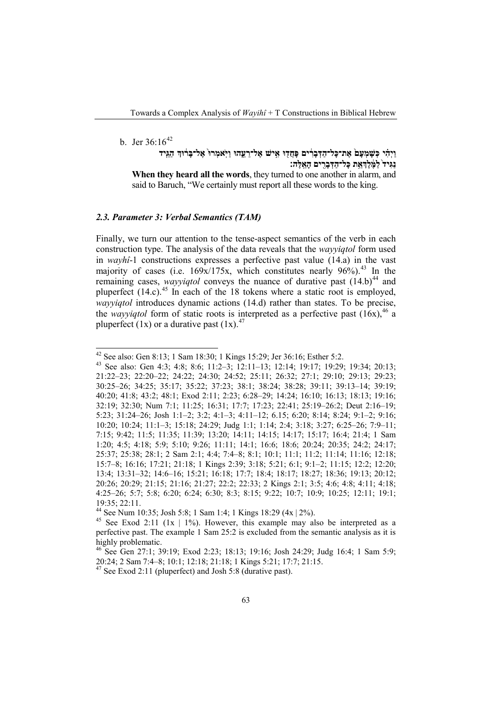## b. Jer  $36:16^{42}$  $36:16^{42}$  $36:16^{42}$

**וַיְהִ֗ י כְּשָׁ מְעָם֙ אֶת־כָּל־הַדְּבָרִ֔ ים ֖ פָּחֲדוּ אִ֣ ישׁ אֶל־רֵ עֵ֑ הוּ וַיּ ֹֽאמְרוּ֙ אֶל־בָּר֔ וּ� הַגֵּ֤יד נַגִּיד֙ לַמֶּ֔ לֶ�אֵ֥ ת כָּל־הַדְּבָרִ֖ ים הָאֵ ֽלֶּה׃ When they heard all the words**, they turned to one another in alarm, and said to Baruch, "We certainly must report all these words to the king.

## *2.3. Parameter 3: Verbal Semantics (TAM)*

Finally, we turn our attention to the tense-aspect semantics of the verb in each construction type. The analysis of the data reveals that the *wayyiqtol* form used in *wayhî*-1 constructions expresses a perfective past value (14.a) in the vast majority of cases (i.e.  $169x/175x$ , which constitutes nearly  $96\%$ ).<sup>43</sup> In the remaining cases, *wayyiqtol* conveys the nuance of durative past  $(14.b)^{44}$  and pluperfect (14.c).<sup>45</sup> In each of the 18 tokens where a static root is employed, *wayyiqtol* introduces dynamic actions (14.d) rather than states. To be precise, the *wayyiqtol* form of static roots is interpreted as a perfective past  $(16x)$ <sup>46</sup>, a pluperfect  $(1x)$  or a durative past  $(1x)$ .<sup>47</sup>

<span id="page-13-0"></span><sup>&</sup>lt;sup>42</sup> See also: Gen 8:13; 1 Sam 18:30; 1 Kings 15:29; Jer 36:16; Esther 5:2.<br><sup>43</sup> See also: Gen 4:3; 4:8; 8:6; 11:2–3; 12:11–13; 12:14; 19:17; 19:29; 19:34; 20:13; 21:22–23; 22:20–22; 24:22; 24:30; 24:52; 25:11; 26:32; 27:1; 29:10; 29:13; 29:23; 30:25–26; 34:25; 35:17; 35:22; 37:23; 38:1; 38:24; 38:28; 39:11; 39:13–14; 39:19; 40:20; 41:8; 43:2; 48:1; Exod 2:11; 2:23; 6:28–29; 14:24; 16:10; 16:13; 18:13; 19:16; 32:19; 32:30; Num 7:1; 11:25; 16:31; 17:7; 17:23; 22:41; 25:19–26:2; Deut 2:16–19; 5:23; 31:24–26; Josh 1:1–2; 3:2; 4:1–3; 4:11–12; 6.15; 6:20; 8:14; 8:24; 9:1–2; 9:16; 10:20; 10:24; 11:1–3; 15:18; 24:29; Judg 1:1; 1:14; 2:4; 3:18; 3:27; 6:25–26; 7:9–11; 7:15; 9:42; 11:5; 11:35; 11:39; 13:20; 14:11; 14:15; 14:17; 15:17; 16:4; 21:4; 1 Sam 1:20; 4:5; 4:18; 5:9; 5:10; 9:26; 11:11; 14:1; 16:6; 18:6; 20:24; 20:35; 24:2; 24:17; 25:37; 25:38; 28:1; 2 Sam 2:1; 4:4; 7:4–8; 8:1; 10:1; 11:1; 11:2; 11:14; 11:16; 12:18; 15:7–8; 16:16; 17:21; 21:18; 1 Kings 2:39; 3:18; 5:21; 6:1; 9:1–2; 11:15; 12:2; 12:20; 13:4; 13:31–32; 14:6–16; 15:21; 16:18; 17:7; 18:4; 18:17; 18:27; 18:36; 19:13; 20:12; 20:26; 20:29; 21:15; 21:16; 21:27; 22:2; 22:33; 2 Kings 2:1; 3:5; 4:6; 4:8; 4:11; 4:18; 4:25–26; 5:7; 5:8; 6:20; 6:24; 6:30; 8:3; 8:15; 9:22; 10:7; 10:9; 10:25; 12:11; 19:1; 19:35; 22:11.<br><sup>44</sup> See Num 10:35; Josh 5:8; 1 Sam 1:4; 1 Kings 18:29 (4x | 2%).

<sup>&</sup>lt;sup>45</sup> See Exod 2:11 (1x | 1%). However, this example may also be interpreted as a perfective past. The example 1 Sam 25:2 is excluded from the semantic analysis as it is highly problematic.

<sup>&</sup>lt;sup>46</sup> See Gen 27:1; 39:19; Exod 2:23; 18:13; 19:16; Josh 24:29; Judg 16:4; 1 Sam 5:9; 20:24; 2 Sam 7:4–8; 10:1; 12:18; 21:18; 1 Kings 5:21; 17:7; 21:15.

 $^{47}$  See Exod 2:11 (pluperfect) and Josh 5:8 (durative past).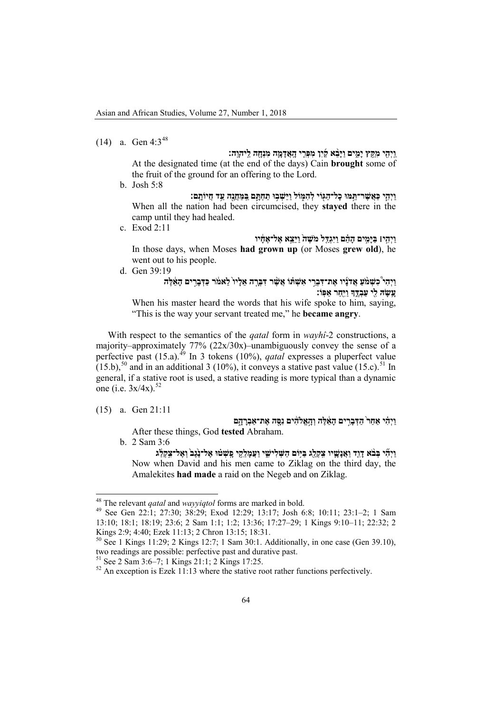(14) a. Gen  $4:3^{48}$  $4:3^{48}$  $4:3^{48}$ 

**וַ ֽיְהִ֖ י מִקֵּ֣ ץ יָמִ֑ ים וַיָּבֵ֨ א קַ֜ יִן מִפְּרִ֧ י הָ ֽאֲדָמָ֛ ה מִנְחָ֖ ה לַ ֽיהוָ ֽה׃** At the designated time (at the end of the days) Cain **brought** some of the fruit of the ground for an offering to the Lord.

b. Josh 5:8

**וַיְהִ֛י כַּאֲשֶׁ ר־תַּ֥ מּוּ ֖ כָל־הַגּוֹי ֑ לְהִמּוֹל ֥ וַיֵּשְׁ בוּ תַ חְתָּ֛ ם בַּ ֽמַּחֲנֶ֖ה עַ֥ ד חֲיוֹתָ ֽם׃** When all the nation had been circumcised, they **stayed** there in the camp until they had healed.

c. Exod 2:11

**וַיְהִ֣י׀ בַּיָּמִ֣ים הָהֵ֗ ם וַיִּגְדַּ֤ ל מ ֹשֶׁ ה֙ וַיֵּצֵ֣א אֶל־אֶחָ֔ יו** In those days, when Moses **had grown up** (or Moses **grew old**), he went out to his people.

d. Gen 39:19

## **וַיְהִי֩ כִשְׁ מ ֹ֨ עַ אֲד ֹנָ֜ יו אֶת־דִּבְרֵ֣ י אִשְׁ תּ֗ וֹ אֲשֶׁ֨ ר דִּבְּרָ֤ ה אֵלָיו֙ לֵאמ ֹ֔ ר כַּדְּבָרִ֣ ים הָאֵ֔ לֶּה עָ֥שָׂ הּ לִ֖י עַבְדֶּ֑ � וַיִּ֖חַר אַפּֽוֹ׃**

When his master heard the words that his wife spoke to him, saying, "This is the way your servant treated me," he **became angry**.

With respect to the semantics of the *qatal* form in *wayhî*-2 constructions, a majority–approximately 77% (22x/30x)–unambiguously convey the sense of a perfective past (15.a).<sup>49</sup> In 3 tokens (10%), *qatal* expresses a pluperfect value  $(15.b),<sup>50</sup>$  and in an additional 3 (10%), it conveys a stative past value (15.c).<sup>51</sup> In general, if a stative root is used, a stative reading is more typical than a dynamic one (i.e. 3x/4x).<sup>52</sup>

(15) a. Gen 21:11

**וַיְהִ֗ י אַחַר֙ הַדְּבָרִ֣ ים הָאֵ֔ לֶּה וְהָ֣אֱ�הִ֔ ים נִסָּ֖ ה אֶת־אַבְרָ הָ֑ ם** After these things, God **tested** Abraham.

b. 2 Sam 3:6

ויהי בְּבֹא דוד ואֲנַשֵׁיו צִקְלְג בּיִּוֹם הִשְׁלִישִׁי ועֲמלקִי כֵּשְׁטּוּ אֱל־נָגֶב וְאֱל־צִקְלֹג Now when David and his men came to Ziklag on the third day, the Amalekites **had made** a raid on the Negeb and on Ziklag.

<span id="page-14-0"></span><sup>&</sup>lt;sup>48</sup> The relevant *qatal* and *wayyiqtol* forms are marked in bold.<br><sup>49</sup> See Gen 22:1; 27:30; 38:29; Exod 12:29; 13:17; Josh 6:8; 10:11; 23:1–2; 1 Sam 13:10; 18:1; 18:19; 23:6; 2 Sam 1:1; 1:2; 13:36; 17:27–29; 1 Kings 9:10–11; 22:32; 2 Kings 2:9; 4:40; Ezek 11:13; 2 Chron 13:15; 18:31.

<sup>&</sup>lt;sup>50</sup> See 1 Kings 11:29; 2 Kings 12:7; 1 Sam 30:1. Additionally, in one case (Gen 39.10), two readings are possible: perfective past and durative past.

<sup>&</sup>lt;sup>51</sup> See 2 Sam 3:6–7; 1 Kings 21:1; 2 Kings 17:25.<br><sup>52</sup> An exception is Ezek 11:13 where the stative root rather functions perfectively.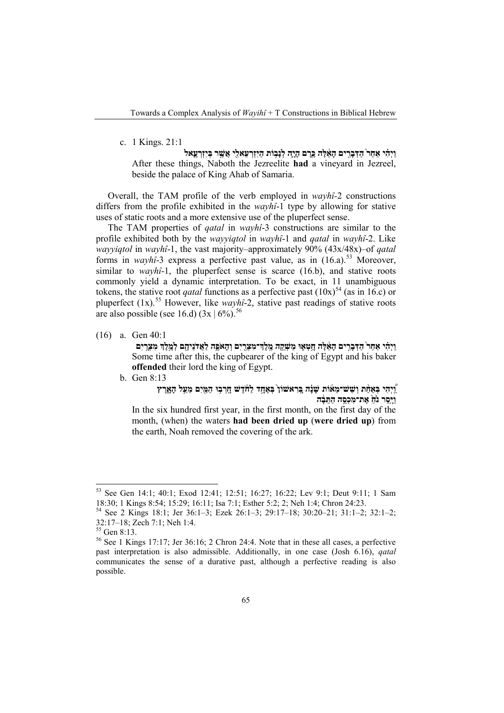## c. 1 Kings. 21:1

**וַיְהִ֗ י אַחַר֙ הַדְּבָרִ֣ ים הָאֵ֔ לֶּה כֶּ֧רֶ ם הָיָ֛ה ֥ לְנָבוֹת הַיִּזְרְ עֵאלִ֖י אֲשֶׁ֣ ר בְּיִזְרְ עֶ֑ אל** After these things, Naboth the Jezreelite **had** a vineyard in Jezreel, beside the palace of King Ahab of Samaria.

Overall, the TAM profile of the verb employed in *wayhî-*2 constructions differs from the profile exhibited in the *wayhî*-1 type by allowing for stative uses of static roots and a more extensive use of the pluperfect sense.

The TAM properties of *qatal* in *wayhî*-3 constructions are similar to the profile exhibited both by the *wayyiqtol* in *wayhî*-1 and *qatal* in *wayhî*-2. Like *wayyiqtol* in *wayhî*-1, the vast majority–approximately 90% (43x/48x)–of *qatal* forms in *wayhî*-3 express a perfective past value, as in (16.a).<sup>53</sup> Moreover, similar to *wayhî*-1, the pluperfect sense is scarce (16.b), and stative roots commonly yield a dynamic interpretation. To be exact, in 11 unambiguous tokens, the stative root *qatal* functions as a perfective past  $(10x)^{54}$  (as in 16.c) or pluperfect (1x).<sup>55</sup> However, like *wayhî*-2, stative past readings of stative roots are also possible (see 16.d) (3x | 6%).*5F* 56

(16) a. Gen 40:1

וַיְהִי אַחַר הַדְּבָרִים הָאֶלֶה חָטְאָוּ מַשְׁקֵה מֱלֶדְ־מִצְרָיִם וְהָאֹפֶה לַאֲדֹנֵיהֶם לְמֶלֶדְ מִצְרִיִם Some time after this, the cupbearer of the king of Egypt and his baker **offended** their lord the king of Egypt.

b. Gen 8:13

## "וַיִּהִי בְּאֲחָת וְשָׁשׁ־מֶאוֹת שָׁנָה בְּרְאשׁוֹן בְּאֲחֶד לַחֹדֵשׁ חָרְבְוּ הַמֵּיִם מֵעֲל הָאֲרֵץ **וַיָּ֤סַר נ ֹ֙חַ֙ אֶת־מִכְסֵ֣ ה הַתֵּ בָ֔ ה**

In the six hundred first year, in the first month, on the first day of the month, (when) the waters **had been dried up** (**were dried up**) from the earth, Noah removed the covering of the ark.

<sup>&</sup>lt;sup>53</sup> See Gen 14:1; 40:1; Exod 12:41; 12:51; 16:27; 16:22; Lev 9:1; Deut 9:11; 1 Sam 18:30; 1 Kings 8:54; 15:29; 16:11; Isa 7:1; Esther 5:2; 2; Neh 1:4; Chron 24:23.

<sup>&</sup>lt;sup>54</sup> See 2 Kings 18:1; Jer 36:1–3; Ezek 26:1–3; 29:17–18; 30:20–21; 31:1–2; 32:1–2; 32:1–2; 32:1–2; heh 1:4.

<sup>&</sup>lt;sup>55</sup> Gen 8:13.  $\frac{55}{6}$  See 1 Kings 17:17; Jer 36:16; 2 Chron 24:4. Note that in these all cases, a perfective past interpretation is also admissible. Additionally, in one case (Josh 6.16), *qatal*  communicates the sense of a durative past, although a perfective reading is also possible.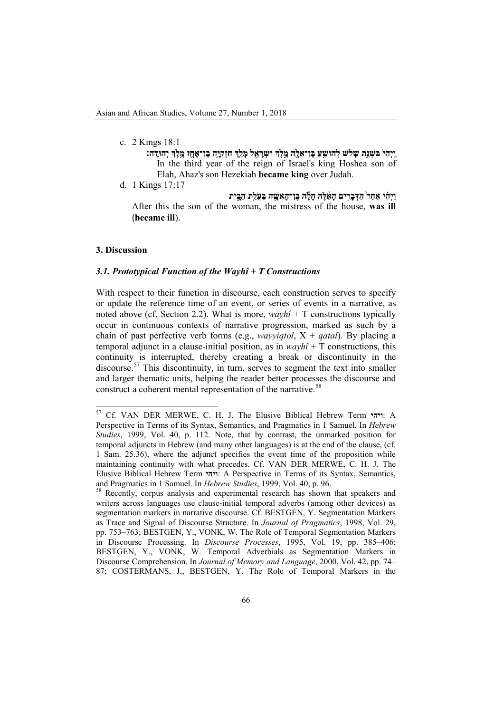- c. 2 Kings 18:1
	- וַיִּהִי בִּשְׁנֵת שָׁלֹשׁ לְהוֹשֵׁעַ בֵּן־אֶלֶה מֵלֵךְ יִשְׂרָאֱל מַלֵךְ חִזְקְיֵה בֵן־אֲחָז מֵלֵךְ יִהוּדֶה: In the third year of the reign of Israel's king Hoshea son of Elah, Ahaz's son Hezekiah **became king** over Judah.

**וַיְהִ֗ י אַחַר֙ הַדְּבָרִ֣ ים הָאֵ֔ לֶּה חָלָ֕ ה בֶּן־הָאִשָּׁ֖ ה בַּעֲלַ֣ת הַבָּ֑ יִת** After this the son of the woman, the mistress of the house, **was ill** (**became ill**).

#### **3. Discussion**

## *3.1. Prototypical Function of the Wayhî + T Constructions*

With respect to their function in discourse, each construction serves to specify or update the reference time of an event, or series of events in a narrative, as noted above (cf. Section 2.2). What is more,  $wayh\hat{i} + T$  constructions typically occur in continuous contexts of narrative progression, marked as such by a chain of past perfective verb forms (e.g., *wayyiqtol*, X + *qatal*). By placing a temporal adjunct in a clause-initial position, as in *wayhî* + T constructions, this continuity is interrupted, thereby creating a break or discontinuity in the discourse.<sup>57</sup> This discontinuity, in turn, serves to segment the text into smaller and larger thematic units, helping the reader better processes the discourse and construct a coherent mental representation of the narrative.<sup>58</sup>

d. 1 Kings 17:17

<sup>57</sup> Cf. VAN DER MERWE, C. H. J. The Elusive Biblical Hebrew Term **ויהי**: A Perspective in Terms of its Syntax, Semantics, and Pragmatics in 1 Samuel. In *Hebrew Studies*, 1999, Vol. 40, p. 112. Note, that by contrast, the unmarked position for temporal adjuncts in Hebrew (and many other languages) is at the end of the clause, (cf. 1 Sam. 25.36), where the adjunct specifies the event time of the proposition while maintaining continuity with what precedes. Cf. VAN DER MERWE, C. H. J. The Elusive Biblical Hebrew Term **ויהי**: A Perspective in Terms of its Syntax, Semantics,

Recently, corpus analysis and experimental research has shown that speakers and writers across languages use clause-initial temporal adverbs (among other devices) as segmentation markers in narrative discourse. Cf. BESTGEN, Y. Segmentation Markers as Trace and Signal of Discourse Structure. In *Journal of Pragmatics*, 1998, Vol. 29, pp. 753–763; BESTGEN, Y., VONK, W. The Role of Temporal Segmentation Markers in Discourse Processing. In *Discourse Processes*, 1995, Vol. 19, pp. 385–406; BESTGEN, Y., VONK, W. Temporal Adverbials as Segmentation Markers in Discourse Comprehension. In *Journal of Memory and Language*, 2000, Vol. 42, pp. 74– 87; COSTERMANS, J., BESTGEN, Y. The Role of Temporal Markers in the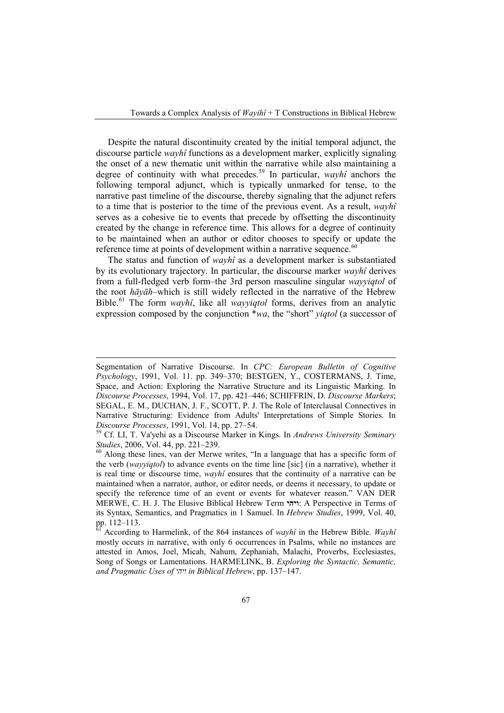Despite the natural discontinuity created by the initial temporal adjunct, the discourse particle *wayhî* functions as a development marker, explicitly signaling the onset of a new thematic unit within the narrative while also maintaining a degree of continuity with what precedes.[59](#page-17-0) In particular, *wayhî* anchors the following temporal adjunct, which is typically unmarked for tense, to the narrative past timeline of the discourse, thereby signaling that the adjunct refers to a time that is posterior to the time of the previous event. As a result, *wayhî*  serves as a cohesive tie to events that precede by offsetting the discontinuity created by the change in reference time. This allows for a degree of continuity to be maintained when an author or editor chooses to specify or update the reference time at points of development within a narrative sequence.<sup>[60](#page-17-1)</sup>

The status and function of *wayhî* as a development marker is substantiated by its evolutionary trajectory. In particular, the discourse marker *wayhî* derives from a full-fledged verb form–the 3rd person masculine singular *wayyiqtol* of the root *hāyāh*–which is still widely reflected in the narrative of the Hebrew Bible.[61](#page-17-2) The form *wayhî*, like all *wayyiqtol* forms, derives from an analytic expression composed by the conjunction \**wa*, the "short" *yiqtol* (a successor of

-

Segmentation of Narrative Discourse. In *CPC: European Bulletin of Cognitive Psychology*, 1991, Vol. 11. pp. 349–370; BESTGEN, Y., COSTERMANS, J. Time, Space, and Action: Exploring the Narrative Structure and its Linguistic Marking. In *Discourse Processes*, 1994, Vol. 17, pp. 421–446; SCHIFFRIN, D. *Discourse Markers*; SEGAL, E. M., DUCHAN, J. F., SCOTT, P. J. The Role of Interclausal Connectives in Narrative Structuring: Evidence from Adults' Interpretations of Simple Stories. In

<span id="page-17-0"></span>*Discourse Processes*, 1991, Vol. 14, pp. 27–54.<br><sup>59</sup> Cf. LI, T. Va'yehi as a Discourse Marker in Kings. In *Andrews University Seminary Studies*, 2006, Vol. 44, pp. 221–239.<br><sup>60</sup> Along these lines, van der Merwe writes. "

<span id="page-17-1"></span>Along these lines, van der Merwe writes, "In a language that has a specific form of the verb (*wayyiqtol*) to advance events on the time line [sic] (in a narrative), whether it is real time or discourse time, *wayhî* ensures that the continuity of a narrative can be maintained when a narrator, author, or editor needs, or deems it necessary, to update or specify the reference time of an event or events for whatever reason." VAN DER MERWE, C. H. J. The Elusive Biblical Hebrew Term **ויהי**: A Perspective in Terms of its Syntax, Semantics, and Pragmatics in 1 Samuel. In *Hebrew Studies*, 1999, Vol. 40,

<span id="page-17-2"></span>pp. 112–113. <sup>61</sup> According to Harmelink, of the 864 instances of *wayhî* in the Hebrew Bible. *Wayhî*  mostly occurs in narrative, with only 6 occurrences in Psalms, while no instances are attested in Amos, Joel, Micah, Nahum, Zephaniah, Malachi, Proverbs, Ecclesiastes, Song of Songs or Lamentations. HARMELINK, B. *Exploring the Syntactic, Semantic, and Pragmatic Uses of ויהי in Biblical Hebrew*, pp. 137–147.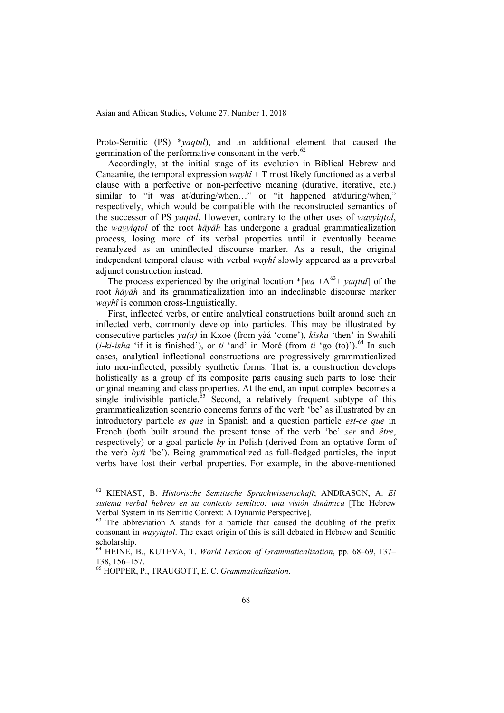Proto-Semitic (PS) \**yaqtul*), and an additional element that caused the germination of the performative consonant in the verb.<sup>[62](#page-18-0)</sup>

Accordingly, at the initial stage of its evolution in Biblical Hebrew and Canaanite, the temporal expression  $wayh\hat{i} + T$  most likely functioned as a verbal clause with a perfective or non-perfective meaning (durative, iterative, etc.) similar to "it was at/during/when..." or "it happened at/during/when," respectively, which would be compatible with the reconstructed semantics of the successor of PS *yaqtul*. However, contrary to the other uses of *wayyiqtol*, the *wayyiqtol* of the root *hāyāh* has undergone a gradual grammaticalization process, losing more of its verbal properties until it eventually became reanalyzed as an uninflected discourse marker. As a result, the original independent temporal clause with verbal *wayhî* slowly appeared as a preverbal adjunct construction instead.

The process experienced by the original locution  $*$ [*wa* +A<sup>[63](#page-18-1)</sup>+ *yaqtul*] of the root *hāyāh* and its grammaticalization into an indeclinable discourse marker *wayhî* is common cross-linguistically.

First, inflected verbs, or entire analytical constructions built around such an inflected verb, commonly develop into particles. This may be illustrated by consecutive particles *ya(a)* in Kxoe (from yàá 'come'), *kisha* 'then' in Swahili  $(i-ki-isha$  'if it is finished'), or *ti* 'and' in Moré (from *ti* 'go (to)').<sup>[64](#page-18-2)</sup> In such cases, analytical inflectional constructions are progressively grammaticalized into non-inflected, possibly synthetic forms. That is, a construction develops holistically as a group of its composite parts causing such parts to lose their original meaning and class properties. At the end, an input complex becomes a single indivisible particle. $65$  Second, a relatively frequent subtype of this grammaticalization scenario concerns forms of the verb 'be' as illustrated by an introductory particle *es que* in Spanish and a question particle *est-ce que* in French (both built around the present tense of the verb 'be' *ser* and *être*, respectively) or a goal particle *by* in Polish (derived from an optative form of the verb *byti* 'be'). Being grammaticalized as full-fledged particles, the input verbs have lost their verbal properties. For example, in the above-mentioned

<span id="page-18-0"></span><sup>62</sup> KIENAST, B. *Historische Semitische Sprachwissenschaft*; ANDRASON, A. *El sistema verbal hebreo en su contexto semítico: una visión dinámica* [The Hebrew

<span id="page-18-1"></span> $63$  The abbreviation A stands for a particle that caused the doubling of the prefix consonant in *wayyiqtol*. The exact origin of this is still debated in Hebrew and Semitic scholarship.

<span id="page-18-2"></span><sup>64</sup> HEINE, B., KUTEVA, T. *World Lexicon of Grammaticalization*, pp. 68–69, 137–

<span id="page-18-3"></span><sup>&</sup>lt;sup>65</sup> HOPPER, P., TRAUGOTT, E. C. *Grammaticalization*.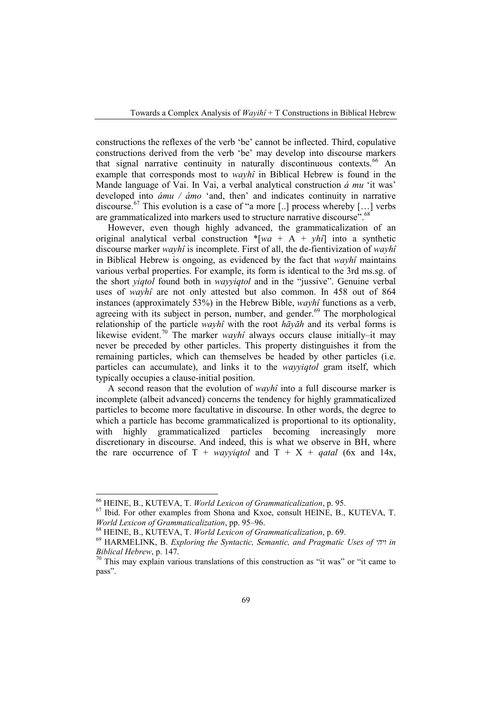constructions the reflexes of the verb 'be' cannot be inflected. Third, copulative constructions derived from the verb 'be' may develop into discourse markers that signal narrative continuity in naturally discontinuous contexts.<sup>[66](#page-19-0)</sup> An example that corresponds most to *wayhî* in Biblical Hebrew is found in the Mande language of Vai. In Vai, a verbal analytical construction *á mu* 'it was' developed into *ámu / ámo* 'and, then' and indicates continuity in narrative discourse.<sup>[67](#page-19-1)</sup> This evolution is a case of "a more [..] process whereby [...] verbs are grammaticalized into markers used to structure narrative discourse".<sup>[68](#page-19-2)</sup>

However, even though highly advanced, the grammaticalization of an original analytical verbal construction \*[*wa* + A + *yhî*] into a synthetic discourse marker *wayhî* is incomplete. First of all, the de-fientivization of *wayhî*  in Biblical Hebrew is ongoing, as evidenced by the fact that *wayhî* maintains various verbal properties. For example, its form is identical to the 3rd ms.sg. of the short *yiqtol* found both in *wayyiqtol* and in the "jussive". Genuine verbal uses of *wayhî* are not only attested but also common. In 458 out of 864 instances (approximately 53%) in the Hebrew Bible, *wayhî* functions as a verb, agreeing with its subject in person, number, and gender.<sup>[69](#page-19-3)</sup> The morphological relationship of the particle *wayhî* with the root *hāyāh* and its verbal forms is likewise evident.<sup>[70](#page-19-4)</sup> The marker *wayhî* always occurs clause initially–it may never be preceded by other particles. This property distinguishes it from the remaining particles, which can themselves be headed by other particles (i.e. particles can accumulate), and links it to the *wayyiqtol* gram itself, which typically occupies a clause-initial position.

A second reason that the evolution of *wayhî* into a full discourse marker is incomplete (albeit advanced) concerns the tendency for highly grammaticalized particles to become more facultative in discourse. In other words, the degree to which a particle has become grammaticalized is proportional to its optionality, with highly grammaticalized particles becoming increasingly more discretionary in discourse. And indeed, this is what we observe in BH, where the rare occurrence of  $T + wayyiqtol$  and  $T + X + qatal$  (6x and 14x,

<span id="page-19-1"></span><span id="page-19-0"></span><sup>&</sup>lt;sup>66</sup> HEINE, B., KUTEVA, T. *World Lexicon of Grammaticalization*, p. 95.<br><sup>67</sup> Ibid. For other examples from Shona and Kxoe, consult HEINE, B., KUTEVA, T.<br>*World Lexicon of Grammaticalization*, pp. 95–96.

<span id="page-19-3"></span><span id="page-19-2"></span><sup>&</sup>lt;sup>68</sup> HEINE, B., KUTEVA, T. World Lexicon of Grammaticalization, p. 69.<br><sup>69</sup> HARMELINK, B. Exploring the Syntactic, Semantic, and Pragmatic Uses of  $\eta$  in *Biblical Hebrew*, p. 147. *To* This may explain various translations of this construction as "it was" or "it came to

<span id="page-19-4"></span>pass".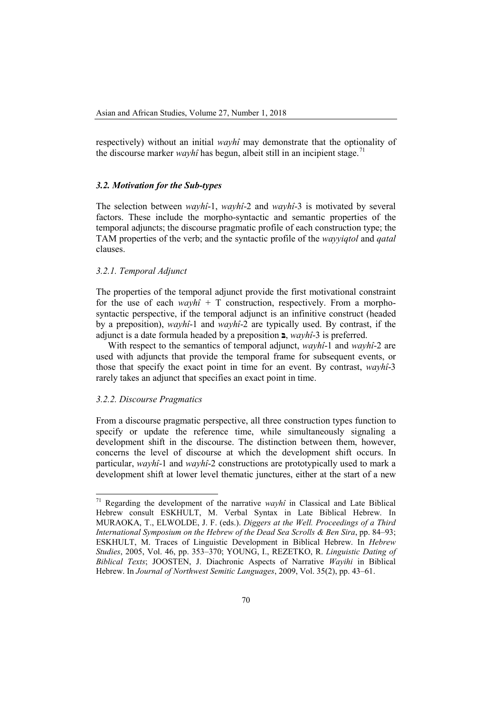respectively) without an initial *wayhî* may demonstrate that the optionality of the discourse marker *wayhî* has begun, albeit still in an incipient stage.<sup>[71](#page-20-0)</sup>

#### *3.2. Motivation for the Sub-types*

The selection between *wayhî*-1, *wayhî*-2 and *wayhî*-3 is motivated by several factors. These include the morpho-syntactic and semantic properties of the temporal adjuncts; the discourse pragmatic profile of each construction type; the TAM properties of the verb; and the syntactic profile of the *wayyiqtol* and *qatal*  clauses.

#### *3.2.1. Temporal Adjunct*

The properties of the temporal adjunct provide the first motivational constraint for the use of each  $wayh\hat{i} + T$  construction, respectively. From a morphosyntactic perspective, if the temporal adjunct is an infinitive construct (headed by a preposition), *wayhî*-1 and *wayhî*-2 are typically used. By contrast, if the adjunct is a date formula headed by a preposition **בּ**, *wayhî*-3 is preferred.

With respect to the semantics of temporal adjunct, *wayhî*-1 and *wayhî*-2 are used with adjuncts that provide the temporal frame for subsequent events, or those that specify the exact point in time for an event. By contrast, *wayhî*-3 rarely takes an adjunct that specifies an exact point in time.

## *3.2.2. Discourse Pragmatics*

From a discourse pragmatic perspective, all three construction types function to specify or update the reference time, while simultaneously signaling a development shift in the discourse. The distinction between them, however, concerns the level of discourse at which the development shift occurs. In particular, *wayhî*-1 and *wayhî*-2 constructions are prototypically used to mark a development shift at lower level thematic junctures, either at the start of a new

<span id="page-20-0"></span><sup>71</sup> Regarding the development of the narrative *wayhî* in Classical and Late Biblical Hebrew consult ESKHULT, M. Verbal Syntax in Late Biblical Hebrew. In MURAOKA, T., ELWOLDE, J. F. (eds.). *Diggers at the Well. Proceedings of a Third International Symposium on the Hebrew of the Dead Sea Scrolls & Ben Sira*, pp. 84–93; ESKHULT, M. Traces of Linguistic Development in Biblical Hebrew. In *Hebrew Studies*, 2005, Vol. 46, pp. 353–370; YOUNG, I., REZETKO, R. *Linguistic Dating of Biblical Texts*; JOOSTEN, J. Diachronic Aspects of Narrative *Wayihi* in Biblical Hebrew. In *Journal of Northwest Semitic Languages*, 2009, Vol. 35(2), pp. 43–61.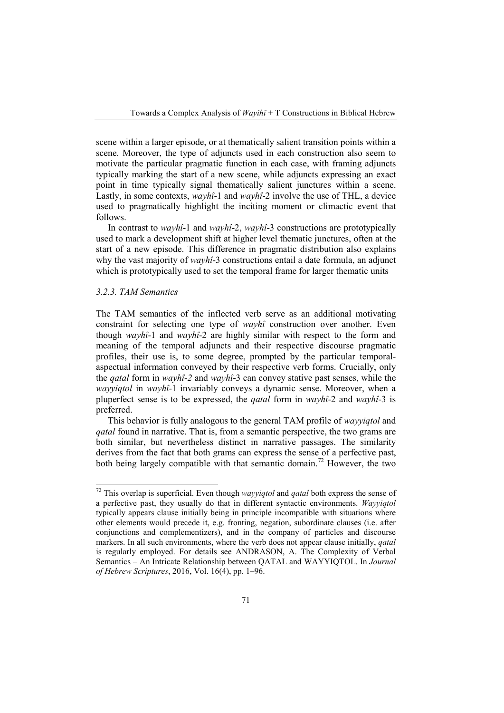scene within a larger episode, or at thematically salient transition points within a scene. Moreover, the type of adjuncts used in each construction also seem to motivate the particular pragmatic function in each case, with framing adjuncts typically marking the start of a new scene, while adjuncts expressing an exact point in time typically signal thematically salient junctures within a scene. Lastly, in some contexts, *wayhî*-1 and *wayhî*-2 involve the use of THL, a device used to pragmatically highlight the inciting moment or climactic event that follows.

In contrast to *wayhî*-1 and *wayhî*-2, *wayhî*-3 constructions are prototypically used to mark a development shift at higher level thematic junctures, often at the start of a new episode. This difference in pragmatic distribution also explains why the vast majority of *wayhî*-3 constructions entail a date formula, an adjunct which is prototypically used to set the temporal frame for larger thematic units

#### *3.2.3. TAM Semantics*

The TAM semantics of the inflected verb serve as an additional motivating constraint for selecting one type of *wayhî* construction over another. Even though *wayhî*-1 and *wayhî*-2 are highly similar with respect to the form and meaning of the temporal adjuncts and their respective discourse pragmatic profiles, their use is, to some degree, prompted by the particular temporalaspectual information conveyed by their respective verb forms. Crucially, only the *qatal* form in *wayhî-2* and *wayhî*-3 can convey stative past senses, while the *wayyiqtol* in *wayhî*-1 invariably conveys a dynamic sense. Moreover, when a pluperfect sense is to be expressed, the *qatal* form in *wayhî*-2 and *wayhî*-3 is preferred.

This behavior is fully analogous to the general TAM profile of *wayyiqtol* and *gatal* found in narrative. That is, from a semantic perspective, the two grams are both similar, but nevertheless distinct in narrative passages. The similarity derives from the fact that both grams can express the sense of a perfective past, both being largely compatible with that semantic domain.<sup>[72](#page-21-0)</sup> However, the two

<span id="page-21-0"></span><sup>72</sup> This overlap is superficial. Even though *wayyiqtol* and *qatal* both express the sense of a perfective past, they usually do that in different syntactic environments. *Wayyiqtol* typically appears clause initially being in principle incompatible with situations where other elements would precede it, e.g. fronting, negation, subordinate clauses (i.e. after conjunctions and complementizers), and in the company of particles and discourse markers. In all such environments, where the verb does not appear clause initially, *qatal* is regularly employed. For details see ANDRASON, A. The Complexity of Verbal Semantics – An Intricate Relationship between QATAL and WAYYIQTOL. In *Journal of Hebrew Scriptures*, 2016, Vol. 16(4), pp. 1–96.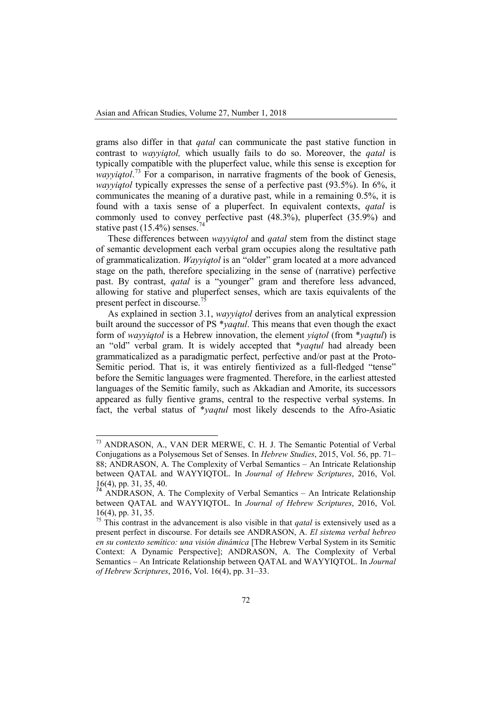grams also differ in that *qatal* can communicate the past stative function in contrast to *wayyiqtol,* which usually fails to do so. Moreover, the *qatal* is typically compatible with the pluperfect value, while this sense is exception for wayyiqtol.<sup>[73](#page-22-0)</sup> For a comparison, in narrative fragments of the book of Genesis, *wayyiqtol* typically expresses the sense of a perfective past (93.5%). In 6%, it communicates the meaning of a durative past, while in a remaining 0.5%, it is found with a taxis sense of a pluperfect. In equivalent contexts, *qatal* is commonly used to convey perfective past (48.3%), pluperfect (35.9%) and stative past  $(15.4\%)$  senses.<sup>[74](#page-22-1)</sup>

These differences between *wayyiqtol* and *qatal* stem from the distinct stage of semantic development each verbal gram occupies along the resultative path of grammaticalization. *Wayyiqtol* is an "older" gram located at a more advanced stage on the path, therefore specializing in the sense of (narrative) perfective past. By contrast, *qatal* is a "younger" gram and therefore less advanced, allowing for stative and pluperfect senses, which are taxis equivalents of the present perfect in discourse.<sup>[75](#page-22-2)</sup>

As explained in section 3.1, *wayyiqtol* derives from an analytical expression built around the successor of PS \**yaqtul*. This means that even though the exact form of *wayyiqtol* is a Hebrew innovation, the element *yiqtol* (from \**yaqtul*) is an "old" verbal gram. It is widely accepted that \**yaqtul* had already been grammaticalized as a paradigmatic perfect, perfective and/or past at the Proto-Semitic period. That is, it was entirely fientivized as a full-fledged "tense" before the Semitic languages were fragmented. Therefore, in the earliest attested languages of the Semitic family, such as Akkadian and Amorite, its successors appeared as fully fientive grams, central to the respective verbal systems. In fact, the verbal status of \**yaqtul* most likely descends to the Afro-Asiatic

<span id="page-22-0"></span><sup>73</sup> ANDRASON, A., VAN DER MERWE, C. H. J. The Semantic Potential of Verbal Conjugations as a Polysemous Set of Senses. In *Hebrew Studies*, 2015, Vol. 56, pp. 71– 88; ANDRASON, A. The Complexity of Verbal Semantics – An Intricate Relationship between QATAL and WAYYIQTOL. In *Journal of Hebrew Scriptures*, 2016, Vol. 16(4), pp. 31, 35, 40.

<span id="page-22-1"></span><sup>74</sup> ANDRASON, A. The Complexity of Verbal Semantics – An Intricate Relationship between QATAL and WAYYIQTOL. In *Journal of Hebrew Scriptures*, 2016, Vol. 16(4), pp. 31, 35. <sup>75</sup> This contrast in the advancement is also visible in that *qatal* is extensively used as a

<span id="page-22-2"></span>present perfect in discourse. For details see ANDRASON, A. *El sistema verbal hebreo en su contexto semítico: una visión dinámica* [The Hebrew Verbal System in its Semitic Context: A Dynamic Perspective]; ANDRASON, A. The Complexity of Verbal Semantics – An Intricate Relationship between QATAL and WAYYIQTOL. In *Journal of Hebrew Scriptures*, 2016, Vol. 16(4), pp. 31–33.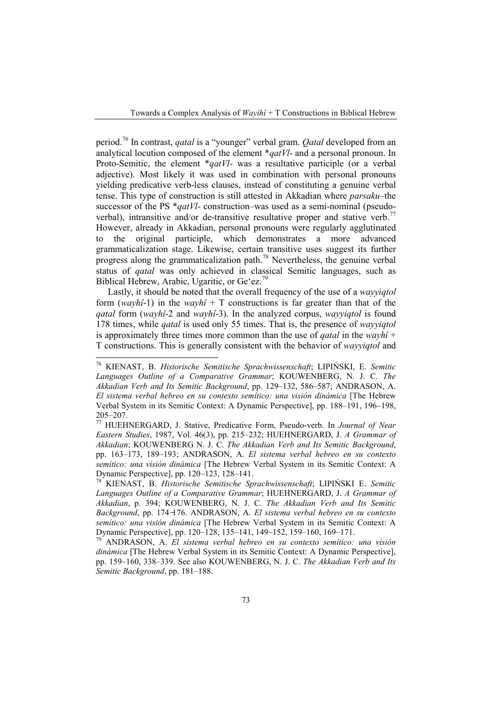period.[76](#page-23-0) In contrast, *qatal* is a "younger" verbal gram. *Qatal* developed from an analytical locution composed of the element \**qatVl*- and a personal pronoun. In Proto-Semitic, the element \**qatVl*- was a resultative participle (or a verbal adjective). Most likely it was used in combination with personal pronouns yielding predicative verb-less clauses, instead of constituting a genuine verbal tense. This type of construction is still attested in Akkadian where *parsaku–*the successor of the PS \**qatVl*- construction–was used as a semi-nominal (pseudo-verbal), intransitive and/or de-transitive resultative proper and stative verb.<sup>[77](#page-23-1)</sup> However, already in Akkadian, personal pronouns were regularly agglutinated to the original participle, which demonstrates a more advanced grammaticalization stage. Likewise, certain transitive uses suggest its further progress along the grammaticalization path.<sup>[78](#page-23-2)</sup> Nevertheless, the genuine verbal status of *qatal* was only achieved in classical Semitic languages, such as Biblical Hebrew, Arabic, Ugaritic, or Ge'ez.<sup>[79](#page-23-3)</sup>

Lastly, it should be noted that the overall frequency of the use of a *wayyiqtol* form  $(wayh\hat{i}-1)$  in the  $wayh\hat{i} + T$  constructions is far greater than that of the *qatal* form (*wayhî*-2 and *wayhî*-3). In the analyzed corpus, *wayyiqtol* is found 178 times, while *qatal* is used only 55 times. That is, the presence of *wayyiqtol* is approximately three times more common than the use of *qatal* in the *wayhî* + T constructions. This is generally consistent with the behavior of *wayyiqtol* and

<span id="page-23-0"></span><sup>76</sup> KIENAST, B. *Historische Semitische Sprachwissenschaft*; LIPIŃSKI, E. *Semitic Languages Outline of a Comparative Grammar*; KOUWENBERG, N. J. C. *The Akkadian Verb and Its Semitic Background*, pp. 129–132, 586–587; ANDRASON, A. *El sistema verbal hebreo en su contexto semítico: una visión dinámica* [The Hebrew Verbal System in its Semitic Context: A Dynamic Perspective], pp. 188–191, 196–198,<br>205–207.<br><sup>77</sup> HUEHNERGARD, J. Stative, Predicative Form, Pseudo verb, In Journal of Navy

<span id="page-23-1"></span><sup>205–207.</sup> <sup>77</sup> HUEHNERGARD, J. Stative, Predicative Form, Pseudo-verb. In *Journal of Near Eastern Studies*, 1987, Vol. 46(3), pp. 215–232; HUEHNERGARD, J. *A Grammar of Akkadian*; KOUWENBERG N. J. C. *The Akkadian Verb and Its Semitic Background*, pp. 163–173, 189–193; ANDRASON, A. *El sistema verbal hebreo en su contexto semítico: una visión dinámica* [The Hebrew Verbal System in its Semitic Context: A Dynamic Perspective], pp. 120–123, 128–141. <sup>78</sup> KIENAST, B. *Historische Semitische Sprachwissenschaft*; LIPIŃSKI E. *Semitic* 

<span id="page-23-2"></span>*Languages Outline of a Comparative Grammar*; HUEHNERGARD, J. *A Grammar of Akkadian*, p. 394; KOUWENBERG, N. J. C. *The Akkadian Verb and Its Semitic Background*, pp. 174 ̶176. ANDRASON, A. *El sistema verbal hebreo en su contexto semítico: una visión dinámica* [The Hebrew Verbal System in its Semitic Context: A

<span id="page-23-3"></span>Dynamic Perspective], pp. 120–128, 135–141, 149–152, 159–160, 169–171. <sup>79</sup> ANDRASON, A. *El sistema verbal hebreo en su contexto semítico: una visión dinámica* [The Hebrew Verbal System in its Semitic Context: A Dynamic Perspective], pp. 159–160, 338–339. See also KOUWENBERG, N. J. C. *The Akkadian Verb and Its Semitic Background*, pp. 181–188.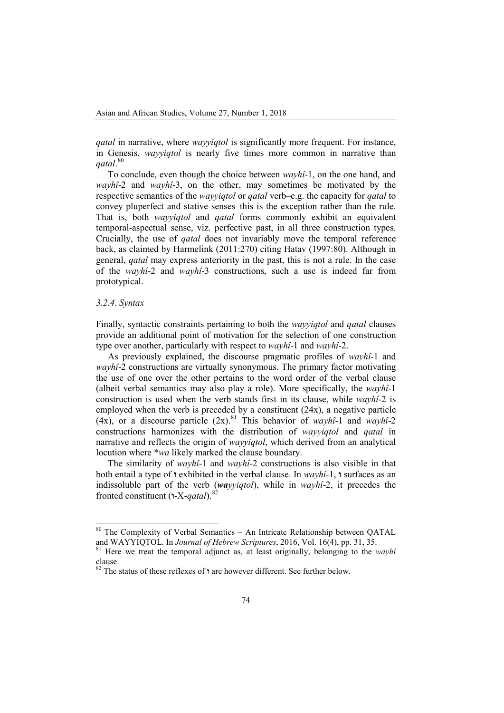*qatal* in narrative, where *wayyiqtol* is significantly more frequent. For instance, in Genesis, *wayyiqtol* is nearly five times more common in narrative than *qatal*. [80](#page-24-0)

To conclude, even though the choice between *wayhî*-1, on the one hand, and *wayhî*-2 and *wayhî*-3, on the other, may sometimes be motivated by the respective semantics of the *wayyiqtol* or *qatal* verb–e.g. the capacity for *qatal* to convey pluperfect and stative senses–this is the exception rather than the rule. That is, both *wayyiqtol* and *qatal* forms commonly exhibit an equivalent temporal-aspectual sense, viz. perfective past, in all three construction types. Crucially, the use of *qatal* does not invariably move the temporal reference back, as claimed by Harmelink (2011:270) citing Hatav (1997:80). Although in general, *qatal* may express anteriority in the past, this is not a rule. In the case of the *wayhî*-2 and *wayhî*-3 constructions, such a use is indeed far from prototypical.

## *3.2.4. Syntax*

Finally, syntactic constraints pertaining to both the *wayyiqtol* and *qatal* clauses provide an additional point of motivation for the selection of one construction type over another, particularly with respect to *wayhî*-1 and *wayhî*-2.

As previously explained, the discourse pragmatic profiles of *wayhî*-1 and *wayhî*-2 constructions are virtually synonymous. The primary factor motivating the use of one over the other pertains to the word order of the verbal clause (albeit verbal semantics may also play a role). More specifically, the *wayhî*-1 construction is used when the verb stands first in its clause, while *wayhî*-2 is employed when the verb is preceded by a constituent (24x), a negative particle (4x), or a discourse particle  $(2x)$ .<sup>[81](#page-24-1)</sup> This behavior of *wayhî*-1 and *wayhî*-2 constructions harmonizes with the distribution of *wayyiqtol* and *qatal* in narrative and reflects the origin of *wayyiqtol*, which derived from an analytical locution where \**wa* likely marked the clause boundary.

The similarity of *wayhî*-1 and *wayhî*-2 constructions is also visible in that both entail a type of *n* exhibited in the verbal clause. In  $wayh\hat{i}$ -1, **n** surfaces as an indissoluble part of the verb (*wayyiqtol*), while in *wayhî*-2, it precedes the fronted constituent (**1**-X-*qatal*).<sup>82</sup>

<span id="page-24-0"></span><sup>&</sup>lt;sup>80</sup> The Complexity of Verbal Semantics – An Intricate Relationship between QATAL and WAYYIQTOL. In *Journal of Hebrew Scriptures*, 2016, Vol. 16(4), pp. 31, 35.

<span id="page-24-1"></span><sup>&</sup>lt;sup>81</sup> Here we treat the temporal adjunct as, at least originally, belonging to the *wayhî* clause.

<sup>&</sup>lt;sup>82</sup> The status of these reflexes of *n* are however different. See further below.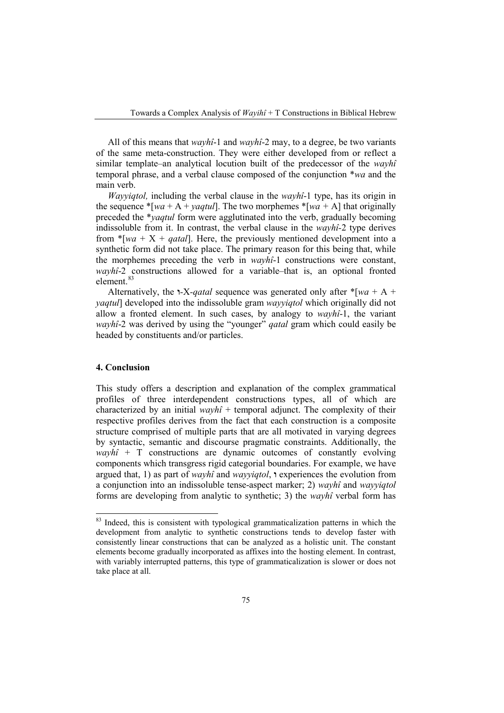All of this means that *wayhî*-1 and *wayhî*-2 may, to a degree, be two variants of the same meta-construction. They were either developed from or reflect a similar template–an analytical locution built of the predecessor of the *wayhî*  temporal phrase, and a verbal clause composed of the conjunction \**wa* and the main verb.

*Wayyiqtol,* including the verbal clause in the *wayhî*-1 type, has its origin in the sequence  $*[wa + A + vaqtu]$ . The two morphemes  $*[wa + A]$  that originally preceded the \**yaqtul* form were agglutinated into the verb, gradually becoming indissoluble from it. In contrast, the verbal clause in the *wayhî-*2 type derives from  $\text{*}$ [*wa* + X + *qatal*]. Here, the previously mentioned development into a synthetic form did not take place. The primary reason for this being that, while the morphemes preceding the verb in *wayhî*-1 constructions were constant, *wayhî*-2 constructions allowed for a variable–that is, an optional fronted element.<sup>[83](#page-25-0)</sup>

Alternatively, the **1-X**-gatal sequence was generated only after  $*$ [*wa* + A + *yaqtul*] developed into the indissoluble gram *wayyiqtol* which originally did not allow a fronted element. In such cases, by analogy to *wayhî*-1, the variant *wayhî*-2 was derived by using the "younger" *qatal* gram which could easily be headed by constituents and/or particles.

## **4. Conclusion**

This study offers a description and explanation of the complex grammatical profiles of three interdependent constructions types, all of which are characterized by an initial  $wayh\hat{i}$  + temporal adjunct. The complexity of their respective profiles derives from the fact that each construction is a composite structure comprised of multiple parts that are all motivated in varying degrees by syntactic, semantic and discourse pragmatic constraints. Additionally, the  $wayh\hat{i} + T$  constructions are dynamic outcomes of constantly evolving components which transgress rigid categorial boundaries. For example, we have argued that, 1) as part of *wayhî* and *wayyiqtol*, **ו** experiences the evolution from a conjunction into an indissoluble tense-aspect marker; 2) *wayhî* and *wayyiqtol* forms are developing from analytic to synthetic; 3) the *wayhî* verbal form has

<span id="page-25-0"></span><sup>&</sup>lt;sup>83</sup> Indeed, this is consistent with typological grammaticalization patterns in which the development from analytic to synthetic constructions tends to develop faster with consistently linear constructions that can be analyzed as a holistic unit. The constant elements become gradually incorporated as affixes into the hosting element. In contrast, with variably interrupted patterns, this type of grammaticalization is slower or does not take place at all.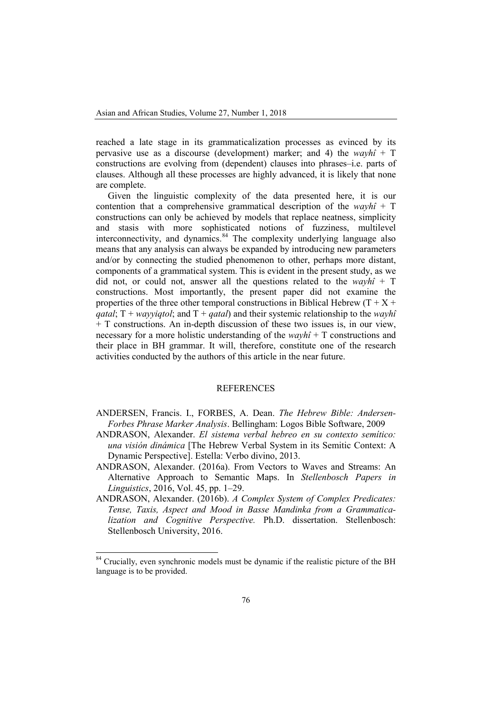reached a late stage in its grammaticalization processes as evinced by its pervasive use as a discourse (development) marker; and 4) the *wayhî* + T constructions are evolving from (dependent) clauses into phrases–i.e. parts of clauses. Although all these processes are highly advanced, it is likely that none are complete.

Given the linguistic complexity of the data presented here, it is our contention that a comprehensive grammatical description of the *wayhî* + T constructions can only be achieved by models that replace neatness, simplicity and stasis with more sophisticated notions of fuzziness, multilevel interconnectivity, and dynamics.<sup>[84](#page-26-0)</sup> The complexity underlying language also means that any analysis can always be expanded by introducing new parameters and/or by connecting the studied phenomenon to other, perhaps more distant, components of a grammatical system. This is evident in the present study, as we did not, or could not, answer all the questions related to the *wayhî* + T constructions. Most importantly, the present paper did not examine the properties of the three other temporal constructions in Biblical Hebrew  $(T + X +$ *qatal*;  $T + way\psi(qt)$ ; and  $T + q \psi(qt)$  and their systemic relationship to the *wayhî* + T constructions. An in-depth discussion of these two issues is, in our view, necessary for a more holistic understanding of the *wayhî* + T constructions and their place in BH grammar. It will, therefore, constitute one of the research activities conducted by the authors of this article in the near future.

## REFERENCES

- ANDERSEN, Francis. I., FORBES, A. Dean. *The Hebrew Bible: Andersen-Forbes Phrase Marker Analysis*. Bellingham: Logos Bible Software, 2009
- ANDRASON, Alexander. *El sistema verbal hebreo en su contexto semítico: una visión dinámica* [The Hebrew Verbal System in its Semitic Context: A Dynamic Perspective]. Estella: Verbo divino, 2013.
- ANDRASON, Alexander. (2016a). From Vectors to Waves and Streams: An Alternative Approach to Semantic Maps. In *Stellenbosch Papers in Linguistics*, 2016, Vol. 45, pp. 1–29.
- ANDRASON, Alexander. (2016b). *A Complex System of Complex Predicates: Tense, Taxis, Aspect and Mood in Basse Mandinka from a Grammaticalization and Cognitive Perspective.* Ph.D. dissertation. Stellenbosch: Stellenbosch University, 2016.

<span id="page-26-0"></span><sup>&</sup>lt;sup>84</sup> Crucially, even synchronic models must be dynamic if the realistic picture of the BH language is to be provided.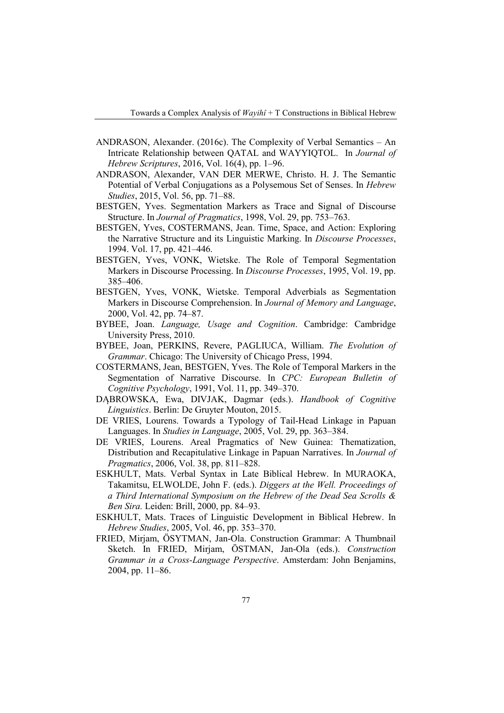- ANDRASON, Alexander. (2016c). The Complexity of Verbal Semantics An Intricate Relationship between QATAL and WAYYIQTOL. In *Journal of Hebrew Scriptures*, 2016, Vol. 16(4), pp. 1–96.
- ANDRASON, Alexander, VAN DER MERWE, Christo. H. J. The Semantic Potential of Verbal Conjugations as a Polysemous Set of Senses. In *Hebrew Studies*, 2015, Vol. 56, pp. 71–88.
- BESTGEN, Yves. Segmentation Markers as Trace and Signal of Discourse Structure. In *Journal of Pragmatics*, 1998, Vol. 29, pp. 753–763.
- BESTGEN, Yves, COSTERMANS, Jean. Time, Space, and Action: Exploring the Narrative Structure and its Linguistic Marking. In *Discourse Processes*, 1994. Vol. 17, pp. 421–446.
- BESTGEN, Yves, VONK, Wietske. The Role of Temporal Segmentation Markers in Discourse Processing. In *Discourse Processes*, 1995, Vol. 19, pp. 385–406.
- BESTGEN, Yves, VONK, Wietske. Temporal Adverbials as Segmentation Markers in Discourse Comprehension. In *Journal of Memory and Language*, 2000, Vol. 42, pp. 74–87.
- BYBEE, Joan. *Language, Usage and Cognition*. Cambridge: Cambridge University Press, 2010.
- BYBEE, Joan, PERKINS, Revere, PAGLIUCA, William. *The Evolution of Grammar*. Chicago: The University of Chicago Press, 1994.
- COSTERMANS, Jean, BESTGEN, Yves. The Role of Temporal Markers in the Segmentation of Narrative Discourse. In *CPC: European Bulletin of Cognitive Psychology*, 1991, Vol. 11, pp. 349–370.
- DĄBROWSKA, Ewa, DIVJAK, Dagmar (eds.). *Handbook of Cognitive Linguistics*. Berlin: De Gruyter Mouton, 2015.
- DE VRIES, Lourens. Towards a Typology of Tail-Head Linkage in Papuan Languages. In *Studies in Language*, 2005, Vol. 29, pp. 363–384.
- DE VRIES, Lourens. Areal Pragmatics of New Guinea: Thematization, Distribution and Recapitulative Linkage in Papuan Narratives. In *Journal of Pragmatics*, 2006, Vol. 38, pp. 811–828.
- ESKHULT, Mats. Verbal Syntax in Late Biblical Hebrew. In MURAOKA, Takamitsu, ELWOLDE, John F. (eds.). *Diggers at the Well. Proceedings of a Third International Symposium on the Hebrew of the Dead Sea Scrolls & Ben Sira.* Leiden: Brill, 2000, pp. 84–93.
- ESKHULT, Mats. Traces of Linguistic Development in Biblical Hebrew. In *Hebrew Studies*, 2005, Vol. 46, pp. 353–370.
- FRIED, Mirjam, ÖSYTMAN, Jan-Ola. Construction Grammar: A Thumbnail Sketch. In FRIED, Mirjam, ÖSTMAN, Jan-Ola (eds.). *Construction Grammar in a Cross-Language Perspective*. Amsterdam: John Benjamins, 2004, pp. 11–86.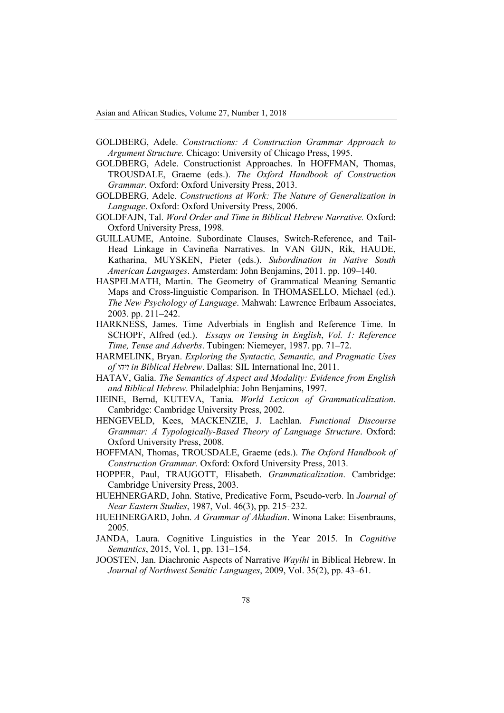- GOLDBERG, Adele. *Constructions: A Construction Grammar Approach to Argument Structure.* Chicago: University of Chicago Press, 1995.
- GOLDBERG, Adele. Constructionist Approaches. In HOFFMAN, Thomas, TROUSDALE, Graeme (eds.). *The Oxford Handbook of Construction Grammar.* Oxford: Oxford University Press, 2013.
- GOLDBERG, Adele. *Constructions at Work: The Nature of Generalization in Language*. Oxford: Oxford University Press, 2006.
- GOLDFAJN, Tal. *Word Order and Time in Biblical Hebrew Narrative.* Oxford: Oxford University Press, 1998.
- GUILLAUME, Antoine. Subordinate Clauses, Switch-Reference, and Tail-Head Linkage in Cavineña Narratives. In VAN GIJN, Rik, HAUDE, Katharina, MUYSKEN, Pieter (eds.). *Subordination in Native South American Languages*. Amsterdam: John Benjamins, 2011. pp. 109–140.
- HASPELMATH, Martin. The Geometry of Grammatical Meaning Semantic Maps and Cross-linguistic Comparison. In THOMASELLO, Michael (ed.). *The New Psychology of Language*. Mahwah: Lawrence Erlbaum Associates, 2003. pp. 211–242.
- HARKNESS, James. Time Adverbials in English and Reference Time. In SCHOPF, Alfred (ed.). *Essays on Tensing in English*, *Vol. 1: Reference Time, Tense and Adverbs*. Tubingen: Niemeyer, 1987. pp. 71–72.
- HARMELINK, Bryan. *Exploring the Syntactic, Semantic, and Pragmatic Uses of ויהי in Biblical Hebrew*. Dallas: SIL International Inc, 2011.
- HATAV, Galia. *The Semantics of Aspect and Modality: Evidence from English and Biblical Hebrew*. Philadelphia: John Benjamins, 1997.
- HEINE, Bernd, KUTEVA, Tania. *World Lexicon of Grammaticalization*. Cambridge: Cambridge University Press, 2002.
- HENGEVELD, Kees, MACKENZIE, J. Lachlan. *Functional Discourse Grammar: A Typologically-Based Theory of Language Structure*. Oxford: Oxford University Press, 2008.
- HOFFMAN, Thomas, TROUSDALE, Graeme (eds.). *The Oxford Handbook of Construction Grammar.* Oxford: Oxford University Press, 2013.
- HOPPER, Paul, TRAUGOTT, Elisabeth. *Grammaticalization*. Cambridge: Cambridge University Press, 2003.
- HUEHNERGARD, John. Stative, Predicative Form, Pseudo-verb. In *Journal of Near Eastern Studies*, 1987, Vol. 46(3), pp. 215–232.
- HUEHNERGARD, John. *A Grammar of Akkadian*. Winona Lake: Eisenbrauns, 2005.
- JANDA, Laura. Cognitive Linguistics in the Year 2015. In *Cognitive Semantics*, 2015, Vol. 1, pp. 131–154.
- JOOSTEN, Jan. Diachronic Aspects of Narrative *Wayihi* in Biblical Hebrew. In *Journal of Northwest Semitic Languages*, 2009, Vol. 35(2), pp. 43–61.